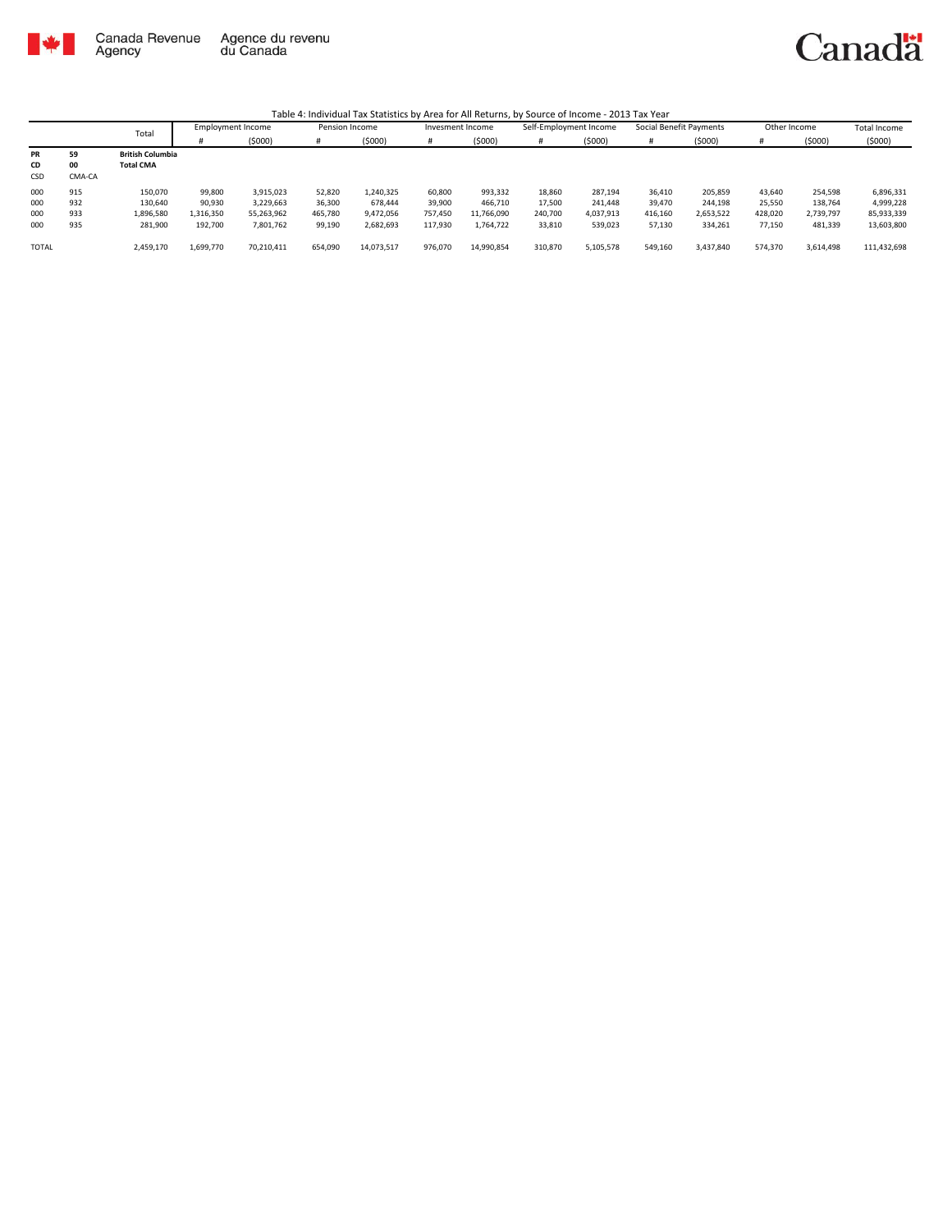

|              |        | Total                   | Employment Income |            | Pension Income |            | Invesment Income |            | Self-Employment Income |           | Social Benefit Payments |           | Other Income |           | Total Income |
|--------------|--------|-------------------------|-------------------|------------|----------------|------------|------------------|------------|------------------------|-----------|-------------------------|-----------|--------------|-----------|--------------|
|              |        |                         |                   | (5000)     | #              | (5000)     |                  | (5000)     | #                      | (5000)    |                         | (5000)    |              | (5000)    | (5000)       |
| PR           | 59     | <b>British Columbia</b> |                   |            |                |            |                  |            |                        |           |                         |           |              |           |              |
| CD           | 00     | <b>Total CMA</b>        |                   |            |                |            |                  |            |                        |           |                         |           |              |           |              |
| CSD          | CMA-CA |                         |                   |            |                |            |                  |            |                        |           |                         |           |              |           |              |
| 000          | 915    | 150.070                 | 99,800            | 3.915.023  | 52,820         | L,240,325  | 60,800           | 993,332    | 18,860                 | 287.194   | 36.410                  | 205,859   | 43.640       | 254,598   | 6,896,331    |
| 000          | 932    | 130.640                 | 90,930            | 3.229.663  | 36,300         | 678.444    | 39,900           | 466,710    | 17,500                 | 241.448   | 39.470                  | 244,198   | 25,550       | 138.764   | 4,999,228    |
| 000          | 933    | 1,896,580               | 1,316,350         | 55,263,962 | 465.780        | 9,472,056  | 757.450          | 11,766,090 | 240.700                | 4.037.913 | 416.160                 | 2,653,522 | 428.020      | 2.739.797 | 85,933,339   |
| 000          | 935    | 281,900                 | 192,700           | 7,801,762  | 99,190         | 2,682,693  | 117,930          | 1,764,722  | 33,810                 | 539,023   | 57,130                  | 334,261   | 77,150       | 481,339   | 13,603,800   |
|              |        |                         |                   |            |                |            |                  |            |                        |           |                         |           |              |           |              |
| <b>TOTAL</b> |        | 2,459,170               | 1,699,770         | 70.210.411 | 654,090        | 14,073,517 | 976,070          | 14,990,854 | 310,870                | 5,105,578 | 549,160                 | 3,437,840 | 574.370      | 3,614,498 | 111,432,698  |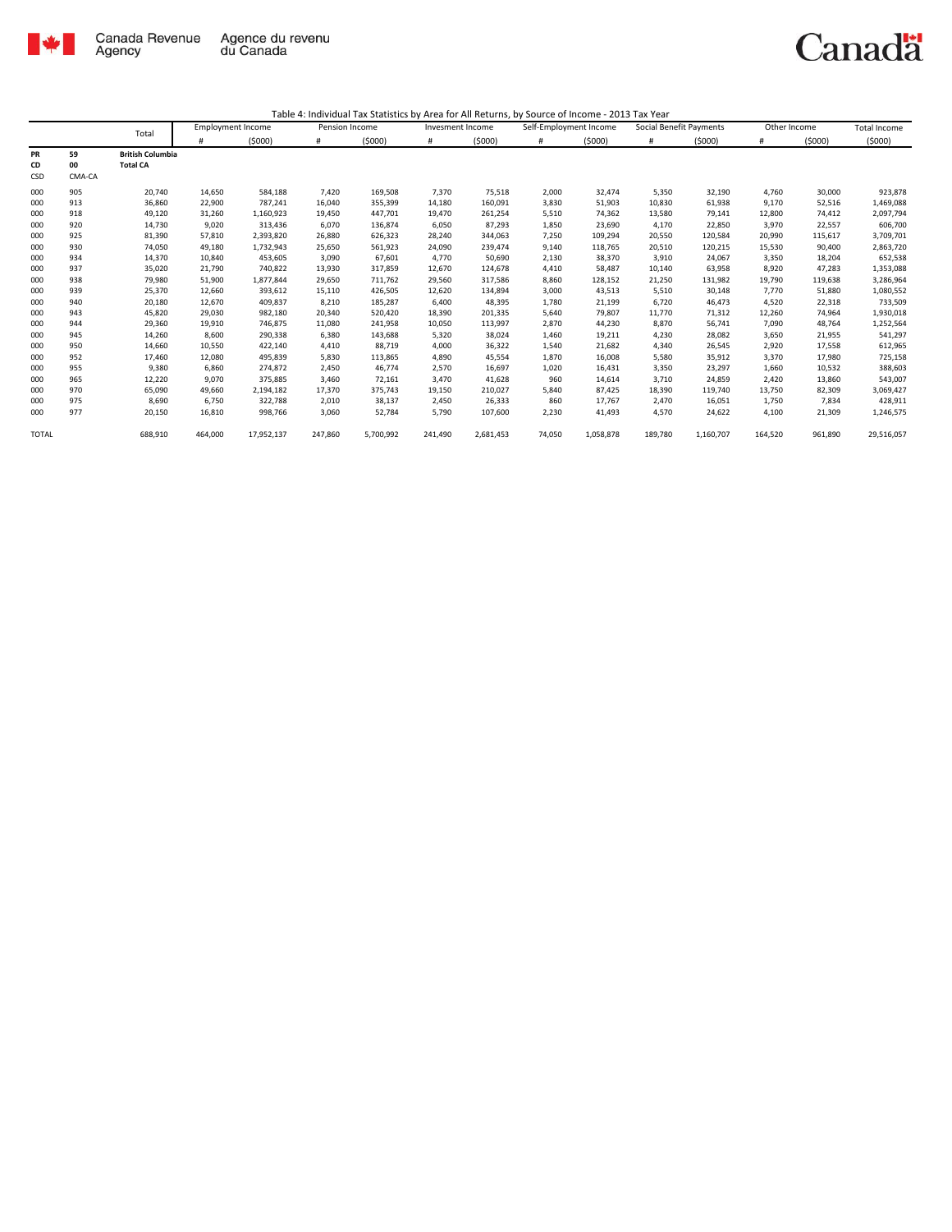

|              |        | Total                   | <b>Employment Income</b> |            | Pension Income |           | Invesment Income |           | Self-Employment Income |           | Social Benefit Payments |           | Other Income |         | <b>Total Income</b> |
|--------------|--------|-------------------------|--------------------------|------------|----------------|-----------|------------------|-----------|------------------------|-----------|-------------------------|-----------|--------------|---------|---------------------|
|              |        |                         | #                        | (5000)     | #              | (5000)    | #                | (5000)    | $\#$                   | (5000)    | #                       | (5000)    | #            | (5000)  | (5000)              |
| PR           | 59     | <b>British Columbia</b> |                          |            |                |           |                  |           |                        |           |                         |           |              |         |                     |
| CD           | 00     | <b>Total CA</b>         |                          |            |                |           |                  |           |                        |           |                         |           |              |         |                     |
| CSD          | CMA-CA |                         |                          |            |                |           |                  |           |                        |           |                         |           |              |         |                     |
| 000          | 905    | 20,740                  | 14,650                   | 584,188    | 7,420          | 169,508   | 7,370            | 75,518    | 2,000                  | 32,474    | 5,350                   | 32,190    | 4,760        | 30,000  | 923,878             |
| 000          | 913    | 36,860                  | 22,900                   | 787,241    | 16,040         | 355,399   | 14,180           | 160,091   | 3,830                  | 51,903    | 10,830                  | 61,938    | 9,170        | 52,516  | 1,469,088           |
| 000          | 918    | 49,120                  | 31,260                   | 1,160,923  | 19,450         | 447,701   | 19,470           | 261,254   | 5,510                  | 74,362    | 13,580                  | 79,141    | 12,800       | 74,412  | 2,097,794           |
| 000          | 920    | 14,730                  | 9,020                    | 313,436    | 6,070          | 136,874   | 6,050            | 87,293    | 1,850                  | 23,690    | 4,170                   | 22,850    | 3,970        | 22,557  | 606,700             |
| 000          | 925    | 81,390                  | 57,810                   | 2,393,820  | 26,880         | 626,323   | 28,240           | 344,063   | 7,250                  | 109,294   | 20,550                  | 120,584   | 20,990       | 115,617 | 3,709,701           |
| 000          | 930    | 74,050                  | 49,180                   | 1,732,943  | 25,650         | 561,923   | 24,090           | 239,474   | 9,140                  | 118,765   | 20,510                  | 120,215   | 15,530       | 90,400  | 2,863,720           |
| 000          | 934    | 14,370                  | 10,840                   | 453,605    | 3,090          | 67,601    | 4,770            | 50,690    | 2,130                  | 38,370    | 3,910                   | 24,067    | 3,350        | 18,204  | 652,538             |
| 000          | 937    | 35,020                  | 21,790                   | 740,822    | 13,930         | 317,859   | 12,670           | 124,678   | 4,410                  | 58,487    | 10,140                  | 63,958    | 8,920        | 47,283  | 1,353,088           |
| 000          | 938    | 79,980                  | 51,900                   | 1,877,844  | 29,650         | 711,762   | 29,560           | 317,586   | 8,860                  | 128,152   | 21,250                  | 131,982   | 19,790       | 119,638 | 3,286,964           |
| 000          | 939    | 25,370                  | 12,660                   | 393,612    | 15,110         | 426,505   | 12,620           | 134,894   | 3,000                  | 43,513    | 5,510                   | 30,148    | 7,770        | 51,880  | 1,080,552           |
| 000          | 940    | 20,180                  | 12,670                   | 409,837    | 8,210          | 185,287   | 6,400            | 48,395    | 1,780                  | 21,199    | 6,720                   | 46,473    | 4,520        | 22,318  | 733,509             |
| 000          | 943    | 45,820                  | 29,030                   | 982,180    | 20,340         | 520,420   | 18,390           | 201,335   | 5,640                  | 79,807    | 11,770                  | 71,312    | 12,260       | 74,964  | 1,930,018           |
| 000          | 944    | 29,360                  | 19,910                   | 746,875    | 11,080         | 241,958   | 10,050           | 113,997   | 2,870                  | 44,230    | 8,870                   | 56,741    | 7,090        | 48,764  | 1,252,564           |
| 000          | 945    | 14,260                  | 8,600                    | 290,338    | 6,380          | 143,688   | 5,320            | 38,024    | 1,460                  | 19,211    | 4,230                   | 28,082    | 3,650        | 21,955  | 541,297             |
| 000          | 950    | 14,660                  | 10,550                   | 422,140    | 4,410          | 88,719    | 4,000            | 36,322    | 1,540                  | 21,682    | 4,340                   | 26,545    | 2,920        | 17,558  | 612,965             |
| 000          | 952    | 17,460                  | 12,080                   | 495,839    | 5,830          | 113,865   | 4,890            | 45,554    | 1,870                  | 16,008    | 5,580                   | 35,912    | 3,370        | 17,980  | 725,158             |
| 000          | 955    | 9,380                   | 6.860                    | 274,872    | 2.450          | 46,774    | 2,570            | 16,697    | 1,020                  | 16,431    | 3,350                   | 23,297    | 1,660        | 10,532  | 388,603             |
| 000          | 965    | 12,220                  | 9.070                    | 375,885    | 3,460          | 72,161    | 3,470            | 41,628    | 960                    | 14,614    | 3,710                   | 24,859    | 2,420        | 13,860  | 543,007             |
| 000          | 970    | 65,090                  | 49.660                   | 2,194,182  | 17,370         | 375,743   | 19,150           | 210,027   | 5,840                  | 87,425    | 18,390                  | 119,740   | 13,750       | 82,309  | 3,069,427           |
| 000          | 975    | 8,690                   | 6,750                    | 322,788    | 2,010          | 38,137    | 2,450            | 26,333    | 860                    | 17,767    | 2.470                   | 16,051    | 1,750        | 7,834   | 428,911             |
| 000          | 977    | 20,150                  | 16,810                   | 998,766    | 3,060          | 52,784    | 5,790            | 107,600   | 2,230                  | 41,493    | 4,570                   | 24,622    | 4,100        | 21,309  | 1,246,575           |
| <b>TOTAL</b> |        | 688,910                 | 464,000                  | 17,952,137 | 247,860        | 5,700,992 | 241,490          | 2,681,453 | 74,050                 | 1,058,878 | 189,780                 | 1,160,707 | 164,520      | 961,890 | 29,516,057          |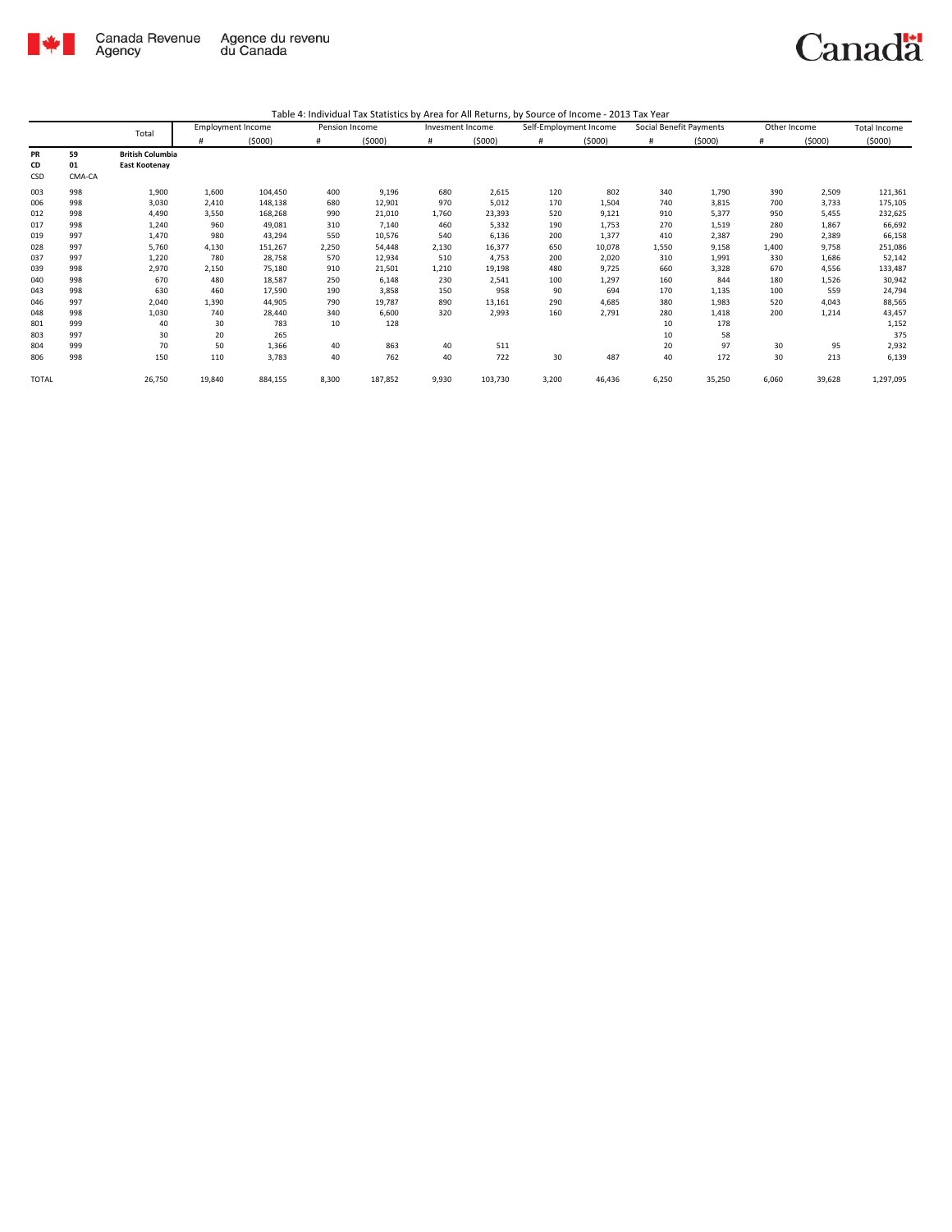

|              |        | Total                   | <b>Employment Income</b> |         | Pension Income |         | Invesment Income |         | Self-Employment Income |        | Social Benefit Payments |        | Other Income |        | <b>Total Income</b> |
|--------------|--------|-------------------------|--------------------------|---------|----------------|---------|------------------|---------|------------------------|--------|-------------------------|--------|--------------|--------|---------------------|
|              |        |                         | #                        | (5000)  | #              | (5000)  | #                | (5000)  | #                      | (5000) | #                       | (5000) | #            | (5000) | (5000)              |
| PR           | 59     | <b>British Columbia</b> |                          |         |                |         |                  |         |                        |        |                         |        |              |        |                     |
| CD           | 01     | East Kootenay           |                          |         |                |         |                  |         |                        |        |                         |        |              |        |                     |
| CSD          | CMA-CA |                         |                          |         |                |         |                  |         |                        |        |                         |        |              |        |                     |
| 003          | 998    | 1,900                   | 1,600                    | 104,450 | 400            | 9,196   | 680              | 2,615   | 120                    | 802    | 340                     | 1,790  | 390          | 2,509  | 121,361             |
| 006          | 998    | 3,030                   | 2,410                    | 148,138 | 680            | 12,901  | 970              | 5,012   | 170                    | 1,504  | 740                     | 3,815  | 700          | 3,733  | 175,105             |
| 012          | 998    | 4,490                   | 3,550                    | 168,268 | 990            | 21,010  | 1,760            | 23,393  | 520                    | 9,121  | 910                     | 5,377  | 950          | 5,455  | 232,625             |
| 017          | 998    | 1,240                   | 960                      | 49,081  | 310            | 7,140   | 460              | 5,332   | 190                    | 1,753  | 270                     | 1,519  | 280          | 1,867  | 66,692              |
| 019          | 997    | 1,470                   | 980                      | 43,294  | 550            | 10,576  | 540              | 6,136   | 200                    | 1,377  | 410                     | 2,387  | 290          | 2,389  | 66,158              |
| 028          | 997    | 5,760                   | 4,130                    | 151,267 | 2,250          | 54,448  | 2,130            | 16,377  | 650                    | 10,078 | 1,550                   | 9,158  | 1,400        | 9,758  | 251,086             |
| 037          | 997    | 1,220                   | 780                      | 28,758  | 570            | 12,934  | 510              | 4,753   | 200                    | 2,020  | 310                     | 1,991  | 330          | 1,686  | 52,142              |
| 039          | 998    | 2,970                   | 2,150                    | 75,180  | 910            | 21,501  | 1,210            | 19,198  | 480                    | 9,725  | 660                     | 3,328  | 670          | 4,556  | 133,487             |
| 040          | 998    | 670                     | 480                      | 18,587  | 250            | 6,148   | 230              | 2,541   | 100                    | 1,297  | 160                     | 844    | 180          | 1,526  | 30,942              |
| 043          | 998    | 630                     | 460                      | 17,590  | 190            | 3,858   | 150              | 958     | 90                     | 694    | 170                     | 1,135  | 100          | 559    | 24,794              |
| 046          | 997    | 2,040                   | 1,390                    | 44,905  | 790            | 19,787  | 890              | 13,161  | 290                    | 4,685  | 380                     | 1,983  | 520          | 4,043  | 88,565              |
| 048          | 998    | 1,030                   | 740                      | 28,440  | 340            | 6,600   | 320              | 2,993   | 160                    | 2,791  | 280                     | 1,418  | 200          | 1,214  | 43,457              |
| 801          | 999    | 40                      | 30                       | 783     | 10             | 128     |                  |         |                        |        | 10                      | 178    |              |        | 1,152               |
| 803          | 997    | 30                      | 20                       | 265     |                |         |                  |         |                        |        | 10                      | 58     |              |        | 375                 |
| 804          | 999    | 70                      | 50                       | 1,366   | 40             | 863     | 40               | 511     |                        |        | 20                      | 97     | 30           | 95     | 2,932               |
| 806          | 998    | 150                     | 110                      | 3,783   | 40             | 762     | 40               | 722     | 30                     | 487    | 40                      | 172    | 30           | 213    | 6,139               |
| <b>TOTAL</b> |        | 26,750                  | 19,840                   | 884,155 | 8,300          | 187,852 | 9,930            | 103,730 | 3,200                  | 46,436 | 6,250                   | 35,250 | 6,060        | 39,628 | 1,297,095           |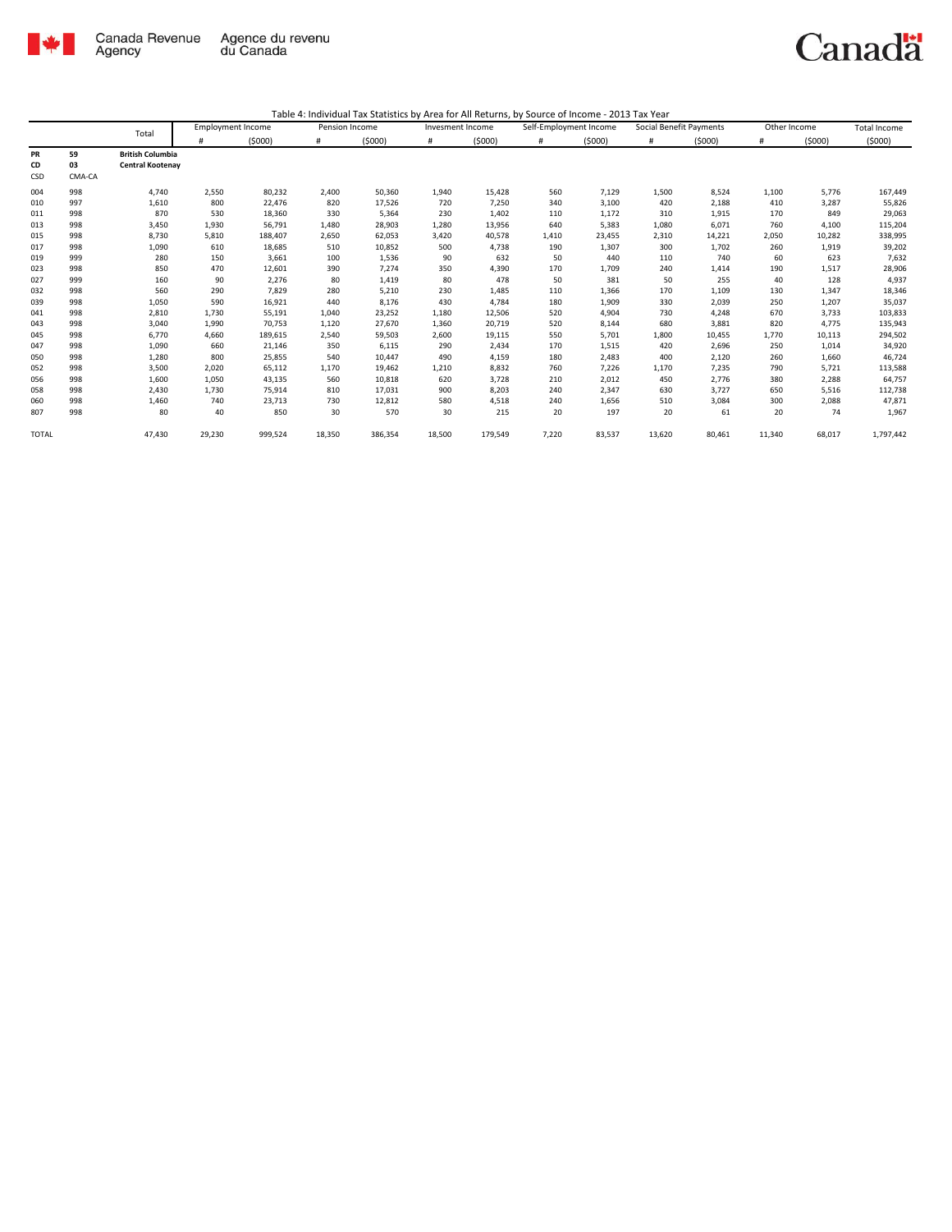

|              |        | Total                   | <b>Employment Income</b> |         | Pension Income |         | Invesment Income |         | Self-Employment Income |        | Social Benefit Payments |        | Other Income |        | <b>Total Income</b> |
|--------------|--------|-------------------------|--------------------------|---------|----------------|---------|------------------|---------|------------------------|--------|-------------------------|--------|--------------|--------|---------------------|
|              |        |                         | #                        | (5000)  | #              | (5000)  | #                | (5000)  | #                      | (5000) | #                       | (5000) | #            | (5000) | (5000)              |
| PR           | 59     | <b>British Columbia</b> |                          |         |                |         |                  |         |                        |        |                         |        |              |        |                     |
| CD           | 03     | <b>Central Kootenay</b> |                          |         |                |         |                  |         |                        |        |                         |        |              |        |                     |
| CSD          | CMA-CA |                         |                          |         |                |         |                  |         |                        |        |                         |        |              |        |                     |
| 004          | 998    | 4,740                   | 2,550                    | 80,232  | 2,400          | 50,360  | 1,940            | 15,428  | 560                    | 7,129  | 1,500                   | 8,524  | 1,100        | 5,776  | 167,449             |
| 010          | 997    | 1,610                   | 800                      | 22,476  | 820            | 17,526  | 720              | 7,250   | 340                    | 3,100  | 420                     | 2,188  | 410          | 3,287  | 55,826              |
| 011          | 998    | 870                     | 530                      | 18,360  | 330            | 5,364   | 230              | 1,402   | 110                    | 1,172  | 310                     | 1,915  | 170          | 849    | 29,063              |
| 013          | 998    | 3,450                   | 1,930                    | 56,791  | 1,480          | 28,903  | 1,280            | 13,956  | 640                    | 5,383  | 1,080                   | 6,071  | 760          | 4,100  | 115,204             |
| 015          | 998    | 8,730                   | 5,810                    | 188,407 | 2,650          | 62,053  | 3,420            | 40,578  | 1,410                  | 23,455 | 2,310                   | 14,221 | 2,050        | 10,282 | 338,995             |
| 017          | 998    | 1,090                   | 610                      | 18,685  | 510            | 10,852  | 500              | 4,738   | 190                    | 1,307  | 300                     | 1,702  | 260          | 1,919  | 39,202              |
| 019          | 999    | 280                     | 150                      | 3,661   | 100            | 1,536   | 90               | 632     | 50                     | 440    | 110                     | 740    | 60           | 623    | 7,632               |
| 023          | 998    | 850                     | 470                      | 12,601  | 390            | 7,274   | 350              | 4,390   | 170                    | 1,709  | 240                     | 1,414  | 190          | 1,517  | 28,906              |
| 027          | 999    | 160                     | 90                       | 2,276   | 80             | 1,419   | 80               | 478     | 50                     | 381    | 50                      | 255    | 40           | 128    | 4,937               |
| 032          | 998    | 560                     | 290                      | 7,829   | 280            | 5,210   | 230              | 1,485   | 110                    | 1,366  | 170                     | 1,109  | 130          | 1,347  | 18,346              |
| 039          | 998    | 1,050                   | 590                      | 16,921  | 440            | 8,176   | 430              | 4.784   | 180                    | 1,909  | 330                     | 2,039  | 250          | 1,207  | 35,037              |
| 041          | 998    | 2,810                   | 1,730                    | 55,191  | 1,040          | 23,252  | 1,180            | 12,506  | 520                    | 4,904  | 730                     | 4,248  | 670          | 3,733  | 103,833             |
| 043          | 998    | 3,040                   | 1,990                    | 70,753  | 1,120          | 27,670  | 1,360            | 20,719  | 520                    | 8,144  | 680                     | 3,881  | 820          | 4,775  | 135,943             |
| 045          | 998    | 6,770                   | 4,660                    | 189,615 | 2,540          | 59,503  | 2,600            | 19,115  | 550                    | 5,701  | 1,800                   | 10,455 | 1.770        | 10,113 | 294,502             |
| 047          | 998    | 1,090                   | 660                      | 21,146  | 350            | 6,115   | 290              | 2,434   | 170                    | 1,515  | 420                     | 2,696  | 250          | 1,014  | 34,920              |
| 050          | 998    | 1,280                   | 800                      | 25,855  | 540            | 10,447  | 490              | 4,159   | 180                    | 2,483  | 400                     | 2,120  | 260          | 1,660  | 46,724              |
| 052          | 998    | 3,500                   | 2,020                    | 65,112  | 1,170          | 19,462  | 1,210            | 8,832   | 760                    | 7,226  | 1,170                   | 7,235  | 790          | 5,721  | 113,588             |
| 056          | 998    | 1,600                   | 1,050                    | 43,135  | 560            | 10,818  | 620              | 3,728   | 210                    | 2,012  | 450                     | 2,776  | 380          | 2,288  | 64,757              |
| 058          | 998    | 2,430                   | 1,730                    | 75,914  | 810            | 17,031  | 900              | 8,203   | 240                    | 2,347  | 630                     | 3,727  | 650          | 5,516  | 112,738             |
| 060          | 998    | 1,460                   | 740                      | 23,713  | 730            | 12,812  | 580              | 4,518   | 240                    | 1,656  | 510                     | 3,084  | 300          | 2,088  | 47,871              |
| 807          | 998    | 80                      | 40                       | 850     | 30             | 570     | 30               | 215     | 20                     | 197    | 20                      | 61     | 20           | 74     | 1,967               |
| <b>TOTAL</b> |        | 47,430                  | 29,230                   | 999,524 | 18,350         | 386,354 | 18,500           | 179,549 | 7,220                  | 83,537 | 13,620                  | 80,461 | 11,340       | 68,017 | 1,797,442           |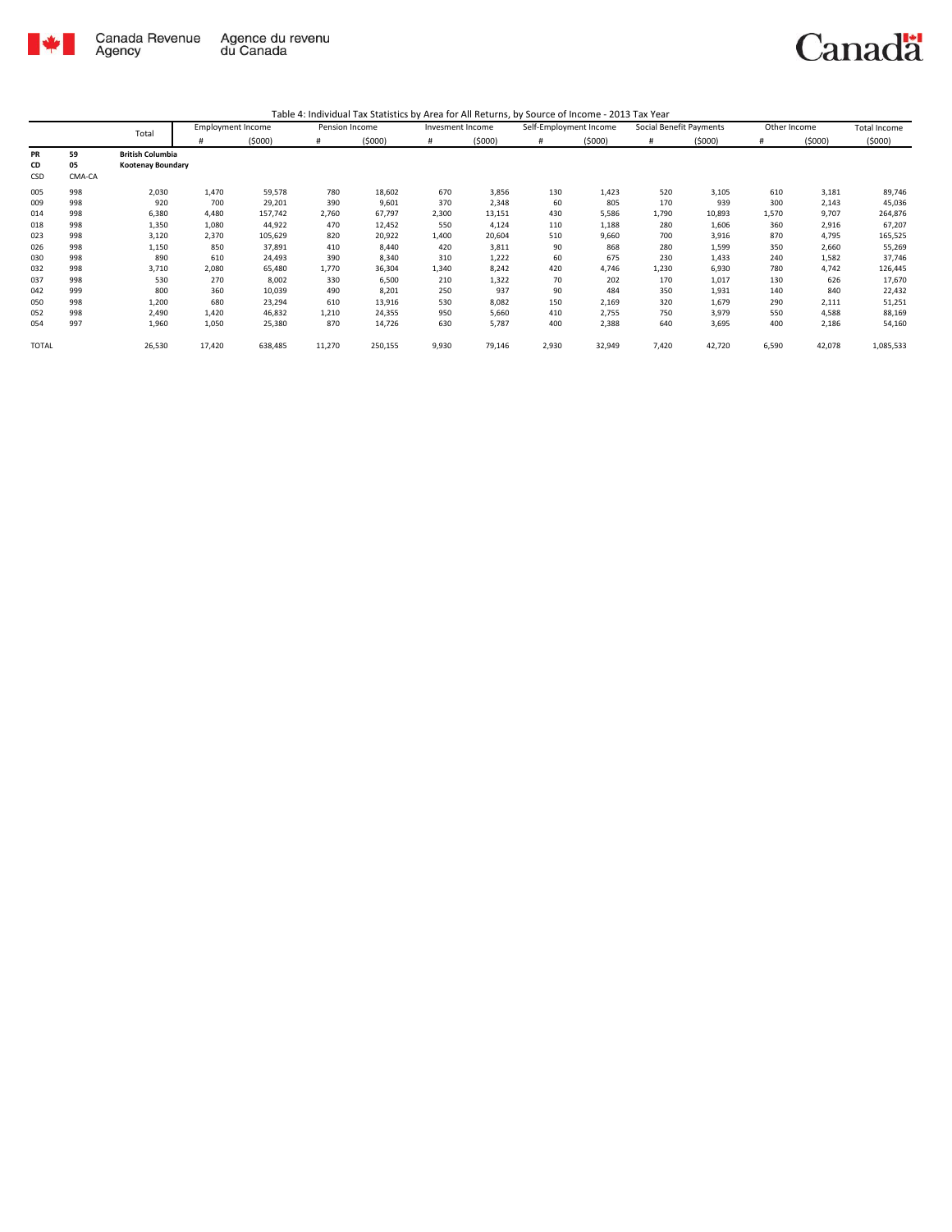

| Table 4: Individual Tax Statistics by Area for All Returns, by Source of Income - 2013 Tax Year |
|-------------------------------------------------------------------------------------------------|
|                                                                                                 |

|              |        | Total                   | <b>Employment Income</b> |         | Pension Income |         | Invesment Income |        | Self-Employment Income |        | Social Benefit Payments |        | Other Income |        | Total Income |
|--------------|--------|-------------------------|--------------------------|---------|----------------|---------|------------------|--------|------------------------|--------|-------------------------|--------|--------------|--------|--------------|
|              |        |                         | #                        | (5000)  | #              | (5000)  | #                | (5000) | #                      | (5000) | #                       | (5000) | #            | (5000) | (5000)       |
| PR           | 59     | <b>British Columbia</b> |                          |         |                |         |                  |        |                        |        |                         |        |              |        |              |
| CD           | 05     | Kootenay Boundary       |                          |         |                |         |                  |        |                        |        |                         |        |              |        |              |
| CSD          | CMA-CA |                         |                          |         |                |         |                  |        |                        |        |                         |        |              |        |              |
| 005          | 998    | 2,030                   | 1,470                    | 59,578  | 780            | 18,602  | 670              | 3,856  | 130                    | 1,423  | 520                     | 3,105  | 610          | 3,181  | 89,746       |
| 009          | 998    | 920                     | 700                      | 29,201  | 390            | 9,601   | 370              | 2,348  | 60                     | 805    | 170                     | 939    | 300          | 2,143  | 45,036       |
| 014          | 998    | 6,380                   | 4,480                    | 157,742 | 2,760          | 67,797  | 2,300            | 13,151 | 430                    | 5,586  | 1,790                   | 10,893 | 1,570        | 9,707  | 264,876      |
| 018          | 998    | 1,350                   | 1,080                    | 44,922  | 470            | 12,452  | 550              | 4,124  | 110                    | 1,188  | 280                     | 1,606  | 360          | 2,916  | 67,207       |
| 023          | 998    | 3,120                   | 2,370                    | 105,629 | 820            | 20,922  | 1.400            | 20,604 | 510                    | 9,660  | 700                     | 3,916  | 870          | 4,795  | 165,525      |
| 026          | 998    | 1,150                   | 850                      | 37,891  | 410            | 8,440   | 420              | 3,811  | 90                     | 868    | 280                     | 1,599  | 350          | 2,660  | 55,269       |
| 030          | 998    | 890                     | 610                      | 24,493  | 390            | 8,340   | 310              | 1,222  | 60                     | 675    | 230                     | 1,433  | 240          | 1,582  | 37,746       |
| 032          | 998    | 3,710                   | 2,080                    | 65,480  | 1,770          | 36,304  | 1,340            | 8,242  | 420                    | 4,746  | 1,230                   | 6,930  | 780          | 4,742  | 126,445      |
| 037          | 998    | 530                     | 270                      | 8,002   | 330            | 6,500   | 210              | 1,322  | 70                     | 202    | 170                     | 1,017  | 130          | 626    | 17,670       |
| 042          | 999    | 800                     | 360                      | 10,039  | 490            | 8,201   | 250              | 937    | 90                     | 484    | 350                     | 1,931  | 140          | 840    | 22,432       |
| 050          | 998    | 1,200                   | 680                      | 23,294  | 610            | 13,916  | 530              | 8,082  | 150                    | 2,169  | 320                     | 1,679  | 290          | 2,111  | 51,251       |
| 052          | 998    | 2,490                   | 1,420                    | 46,832  | 1,210          | 24,355  | 950              | 5,660  | 410                    | 2,755  | 750                     | 3,979  | 550          | 4,588  | 88,169       |
| 054          | 997    | 1,960                   | 1,050                    | 25,380  | 870            | 14,726  | 630              | 5,787  | 400                    | 2,388  | 640                     | 3,695  | 400          | 2,186  | 54,160       |
| <b>TOTAL</b> |        | 26,530                  | 17,420                   | 638,485 | 11,270         | 250,155 | 9,930            | 79,146 | 2,930                  | 32,949 | 7,420                   | 42,720 | 6,590        | 42,078 | 1,085,533    |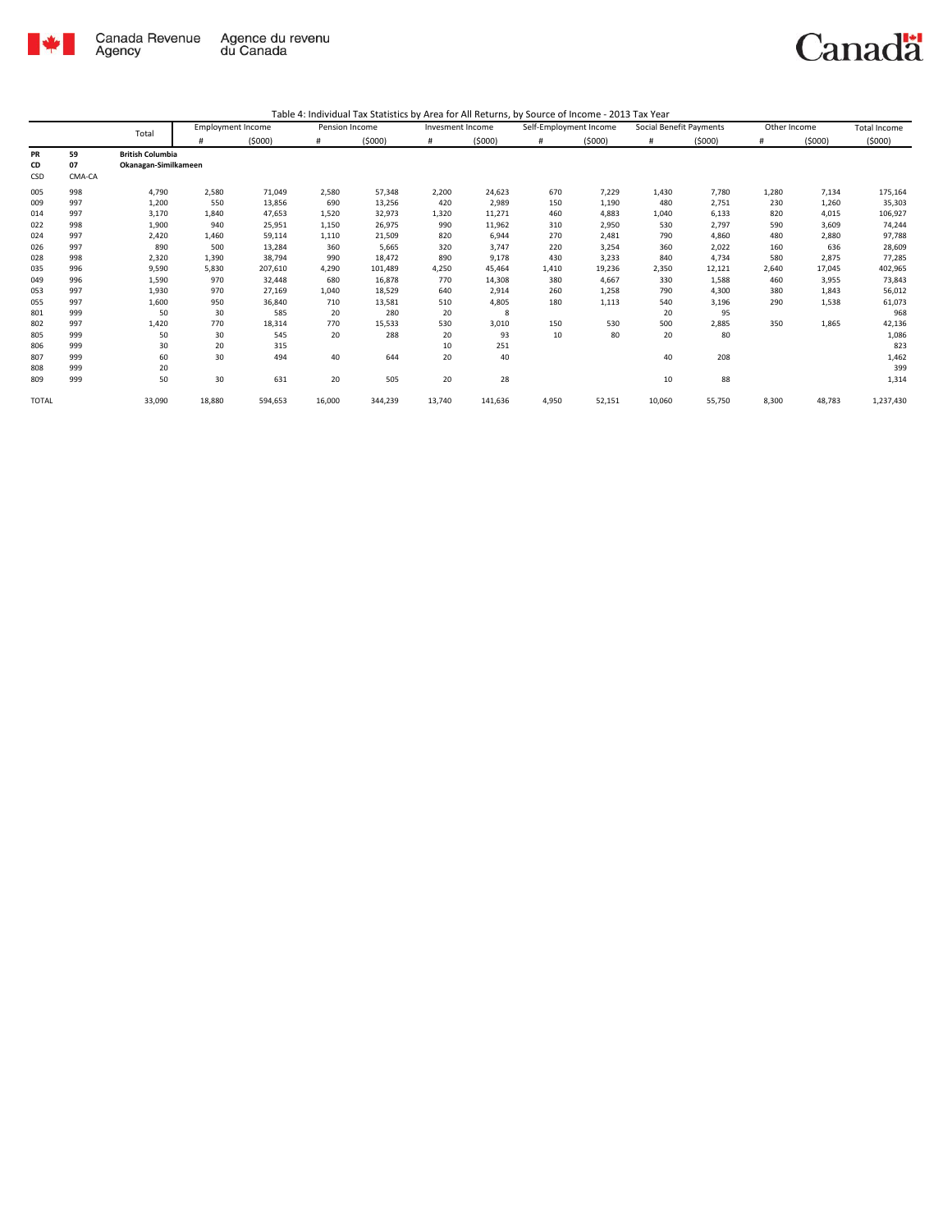

|              |        | Total                   |        | <b>Employment Income</b> |        | Pension Income | Invesment Income |         | Self-Employment Income |        | Social Benefit Payments |        | Other Income |        | Total Income |
|--------------|--------|-------------------------|--------|--------------------------|--------|----------------|------------------|---------|------------------------|--------|-------------------------|--------|--------------|--------|--------------|
|              |        |                         |        | (5000)                   | #      | (5000)         | #                | (5000)  | #                      | (5000) | #                       | (5000) | #            | (5000) | (5000)       |
| PR           | 59     | <b>British Columbia</b> |        |                          |        |                |                  |         |                        |        |                         |        |              |        |              |
| CD           | 07     | Okanagan-Similkameen    |        |                          |        |                |                  |         |                        |        |                         |        |              |        |              |
| CSD          | CMA-CA |                         |        |                          |        |                |                  |         |                        |        |                         |        |              |        |              |
| 005          | 998    | 4,790                   | 2,580  | 71,049                   | 2,580  | 57,348         | 2,200            | 24,623  | 670                    | 7,229  | 1,430                   | 7,780  | 1,280        | 7,134  | 175,164      |
| 009          | 997    | 1,200                   | 550    | 13,856                   | 690    | 13,256         | 420              | 2,989   | 150                    | 1,190  | 480                     | 2,751  | 230          | 1,260  | 35,303       |
| 014          | 997    | 3,170                   | 1,840  | 47,653                   | 1,520  | 32,973         | 1,320            | 11,271  | 460                    | 4,883  | 1,040                   | 6,133  | 820          | 4,015  | 106,927      |
| 022          | 998    | 1,900                   | 940    | 25,951                   | 1,150  | 26,975         | 990              | 11,962  | 310                    | 2,950  | 530                     | 2,797  | 590          | 3,609  | 74,244       |
| 024          | 997    | 2,420                   | 1,460  | 59,114                   | 1,110  | 21,509         | 820              | 6,944   | 270                    | 2,481  | 790                     | 4,860  | 480          | 2,880  | 97,788       |
| 026          | 997    | 890                     | 500    | 13,284                   | 360    | 5,665          | 320              | 3,747   | 220                    | 3,254  | 360                     | 2,022  | 160          | 636    | 28,609       |
| 028          | 998    | 2,320                   | 1,390  | 38,794                   | 990    | 18,472         | 890              | 9,178   | 430                    | 3,233  | 840                     | 4,734  | 580          | 2,875  | 77,285       |
| 035          | 996    | 9,590                   | 5,830  | 207,610                  | 4,290  | 101,489        | 4,250            | 45.464  | 1,410                  | 19,236 | 2,350                   | 12,121 | 2.640        | 17,045 | 402,965      |
| 049          | 996    | 1,590                   | 970    | 32,448                   | 680    | 16,878         | 770              | 14,308  | 380                    | 4,667  | 330                     | 1,588  | 460          | 3,955  | 73,843       |
| 053          | 997    | 1,930                   | 970    | 27,169                   | 1,040  | 18,529         | 640              | 2,914   | 260                    | 1,258  | 790                     | 4,300  | 380          | 1,843  | 56,012       |
| 055          | 997    | 1,600                   | 950    | 36,840                   | 710    | 13,581         | 510              | 4,805   | 180                    | 1,113  | 540                     | 3,196  | 290          | 1,538  | 61,073       |
| 801          | 999    | 50                      | 30     | 585                      | 20     | 280            | 20               | 8       |                        |        | 20                      | 95     |              |        | 968          |
| 802          | 997    | 1,420                   | 770    | 18,314                   | 770    | 15,533         | 530              | 3,010   | 150                    | 530    | 500                     | 2,885  | 350          | 1,865  | 42,136       |
| 805          | 999    | 50                      | 30     | 545                      | 20     | 288            | 20               | 93      | 10                     | 80     | 20                      | 80     |              |        | 1,086        |
| 806          | 999    | 30                      | 20     | 315                      |        |                | 10               | 251     |                        |        |                         |        |              |        | 823          |
| 807          | 999    | 60                      | 30     | 494                      | 40     | 644            | 20               | 40      |                        |        | 40                      | 208    |              |        | 1,462        |
| 808          | 999    | 20                      |        |                          |        |                |                  |         |                        |        |                         |        |              |        | 399          |
| 809          | 999    | 50                      | 30     | 631                      | 20     | 505            | 20               | 28      |                        |        | 10                      | 88     |              |        | 1,314        |
| <b>TOTAL</b> |        | 33,090                  | 18,880 | 594,653                  | 16,000 | 344,239        | 13,740           | 141,636 | 4,950                  | 52,151 | 10,060                  | 55,750 | 8,300        | 48,783 | 1,237,430    |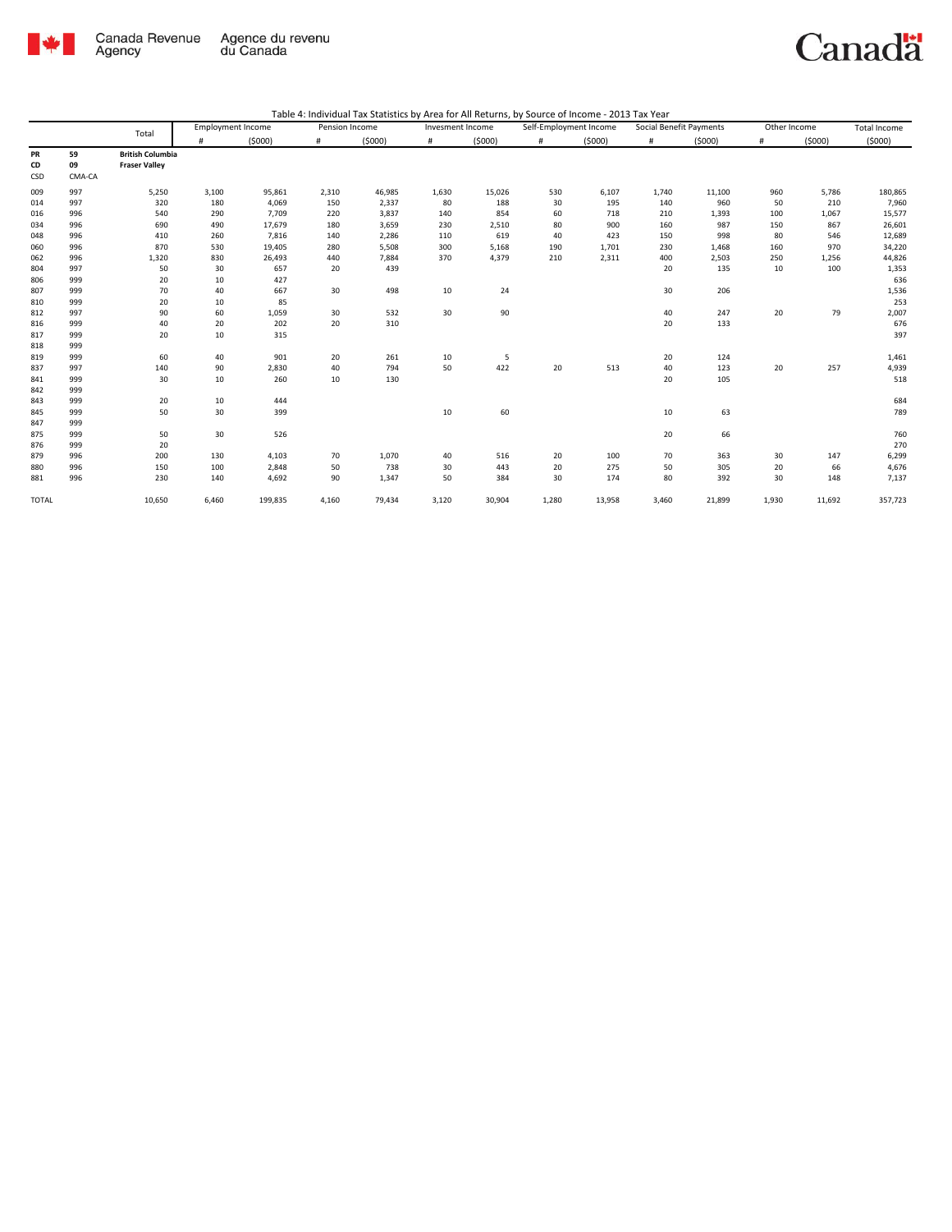

| Table 4: Individual Tax Statistics by Area for All Returns, by Source of Income - 2013 Tax Year |  |  |  |
|-------------------------------------------------------------------------------------------------|--|--|--|
|-------------------------------------------------------------------------------------------------|--|--|--|

|                 |                    | Total                                           | <b>Employment Income</b> |         | Pension Income |        | Invesment Income |        |       | Self-Employment Income |       | Social Benefit Payments | Other Income |        | Total Income |
|-----------------|--------------------|-------------------------------------------------|--------------------------|---------|----------------|--------|------------------|--------|-------|------------------------|-------|-------------------------|--------------|--------|--------------|
|                 |                    |                                                 | #                        | (5000)  | $\#$           | (5000) | #                | (5000) | $\#$  | (5000)                 | #     | (5000)                  | #            | (5000) | (5000)       |
| PR<br>CD<br>CSD | 59<br>09<br>CMA-CA | <b>British Columbia</b><br><b>Fraser Valley</b> |                          |         |                |        |                  |        |       |                        |       |                         |              |        |              |
| 009             | 997                | 5,250                                           | 3,100                    | 95,861  | 2,310          | 46,985 | 1,630            | 15,026 | 530   | 6,107                  | 1,740 | 11,100                  | 960          | 5,786  | 180,865      |
| 014             | 997                | 320                                             | 180                      | 4,069   | 150            | 2,337  | 80               | 188    | 30    | 195                    | 140   | 960                     | 50           | 210    | 7,960        |
| 016             | 996                | 540                                             | 290                      | 7,709   | 220            | 3,837  | 140              | 854    | 60    | 718                    | 210   | 1,393                   | 100          | 1,067  | 15,577       |
| 034             | 996                | 690                                             | 490                      | 17,679  | 180            | 3,659  | 230              | 2,510  | 80    | 900                    | 160   | 987                     | 150          | 867    | 26,601       |
| 048             | 996                | 410                                             | 260                      | 7,816   | 140            | 2,286  | 110              | 619    | 40    | 423                    | 150   | 998                     | 80           | 546    | 12,689       |
| 060             | 996                | 870                                             | 530                      | 19,405  | 280            | 5,508  | 300              | 5,168  | 190   | 1,701                  | 230   | 1,468                   | 160          | 970    | 34,220       |
| 062             | 996                | 1,320                                           | 830                      | 26,493  | 440            | 7,884  | 370              | 4,379  | 210   | 2,311                  | 400   | 2,503                   | 250          | 1,256  | 44,826       |
| 804             | 997                | 50                                              | 30                       | 657     | 20             | 439    |                  |        |       |                        | 20    | 135                     | 10           | 100    | 1,353        |
| 806             | 999                | 20                                              | 10                       | 427     |                |        |                  |        |       |                        |       |                         |              |        | 636          |
| 807             | 999                | 70                                              | 40                       | 667     | 30             | 498    | 10               | 24     |       |                        | 30    | 206                     |              |        | 1,536        |
| 810             | 999                | 20                                              | 10                       | 85      |                |        |                  |        |       |                        |       |                         |              |        | 253          |
| 812             | 997                | 90                                              | 60                       | 1,059   | 30             | 532    | 30               | 90     |       |                        | 40    | 247                     | 20           | 79     | 2,007        |
| 816             | 999                | 40                                              | 20                       | 202     | 20             | 310    |                  |        |       |                        | 20    | 133                     |              |        | 676          |
| 817             | 999                | 20                                              | 10                       | 315     |                |        |                  |        |       |                        |       |                         |              |        | 397          |
| 818             | 999                |                                                 |                          |         |                |        |                  |        |       |                        |       |                         |              |        |              |
| 819             | 999                | 60                                              | 40                       | 901     | 20             | 261    | 10               | -5     |       |                        | 20    | 124                     |              |        | 1,461        |
| 837             | 997                | 140                                             | 90                       | 2,830   | 40             | 794    | 50               | 422    | 20    | 513                    | 40    | 123                     | 20           | 257    | 4,939        |
| 841             | 999                | 30                                              | 10                       | 260     | 10             | 130    |                  |        |       |                        | 20    | 105                     |              |        | 518          |
| 842             | 999                |                                                 |                          |         |                |        |                  |        |       |                        |       |                         |              |        |              |
| 843             | 999                | 20                                              | 10                       | 444     |                |        |                  |        |       |                        |       |                         |              |        | 684          |
| 845             | 999                | 50                                              | 30                       | 399     |                |        | 10               | 60     |       |                        | 10    | 63                      |              |        | 789          |
| 847             | 999                |                                                 |                          |         |                |        |                  |        |       |                        |       |                         |              |        |              |
| 875             | 999                | 50                                              | 30                       | 526     |                |        |                  |        |       |                        | 20    | 66                      |              |        | 760          |
| 876             | 999                | 20                                              |                          |         |                |        |                  |        |       |                        |       |                         |              |        | 270          |
| 879             | 996                | 200                                             | 130                      | 4,103   | 70             | 1,070  | 40               | 516    | 20    | 100                    | 70    | 363                     | 30           | 147    | 6,299        |
| 880             | 996                | 150                                             | 100                      | 2,848   | 50             | 738    | 30               | 443    | 20    | 275                    | 50    | 305                     | 20           | 66     | 4,676        |
| 881             | 996                | 230                                             | 140                      | 4,692   | 90             | 1,347  | 50               | 384    | 30    | 174                    | 80    | 392                     | 30           | 148    | 7,137        |
| <b>TOTAL</b>    |                    | 10,650                                          | 6,460                    | 199,835 | 4,160          | 79,434 | 3,120            | 30,904 | 1,280 | 13,958                 | 3,460 | 21,899                  | 1,930        | 11,692 | 357,723      |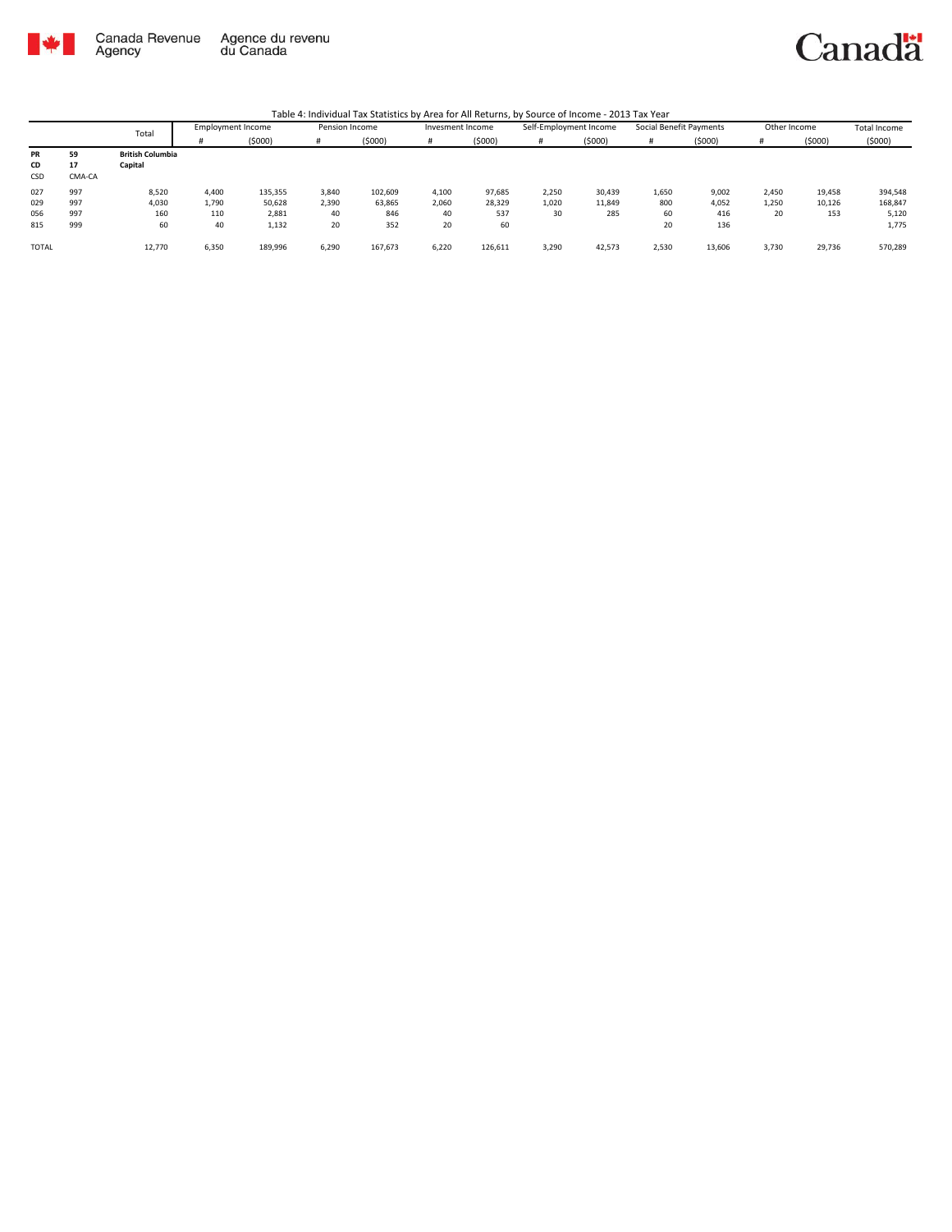

Canada Revenue<br>Agency Agence du revenu<br>du Canada Canadä

|              |        | Total                   | <b>Employment Income</b> |         | Pension Income |         | Invesment Income |         | Self-Employment Income |        | Social Benefit Payments |        | Other Income |        | Total Income |
|--------------|--------|-------------------------|--------------------------|---------|----------------|---------|------------------|---------|------------------------|--------|-------------------------|--------|--------------|--------|--------------|
|              |        |                         |                          | (\$000) |                | (5000)  |                  | (5000)  | #                      | (5000) |                         | (5000) |              | (5000) | (5000)       |
| PR           | 59     | <b>British Columbia</b> |                          |         |                |         |                  |         |                        |        |                         |        |              |        |              |
| CD           | 17     | Capital                 |                          |         |                |         |                  |         |                        |        |                         |        |              |        |              |
| CSD          | CMA-CA |                         |                          |         |                |         |                  |         |                        |        |                         |        |              |        |              |
| 027          | 997    | 8,520                   | 4,400                    | 135,355 | 3.840          | 102,609 | 4,100            | 97,685  | 2,250                  | 30,439 | 1,650                   | 9,002  | 2,450        | 19,458 | 394,548      |
| 029          | 997    | 4,030                   | 1,790                    | 50,628  | 2,390          | 63,865  | 2,060            | 28,329  | 1,020                  | 11,849 | 800                     | 4,052  | 1,250        | 10,126 | 168,847      |
| 056          | 997    | 160                     | 110                      | 2,881   | 40             | 846     | 40               | 537     | 30                     | 285    | 60                      | 416    | 20           | 153    | 5,120        |
| 815          | 999    | 60                      | 40                       | 1,132   | 20             | 352     | 20               | 60      |                        |        | 20                      | 136    |              |        | 1,775        |
| <b>TOTAL</b> |        | 12,770                  | 6,350                    | 189,996 | 6,290          | 167,673 | 6,220            | 126,611 | 3,290                  | 42,573 | 2,530                   | 13,606 | 3,730        | 29,736 | 570,289      |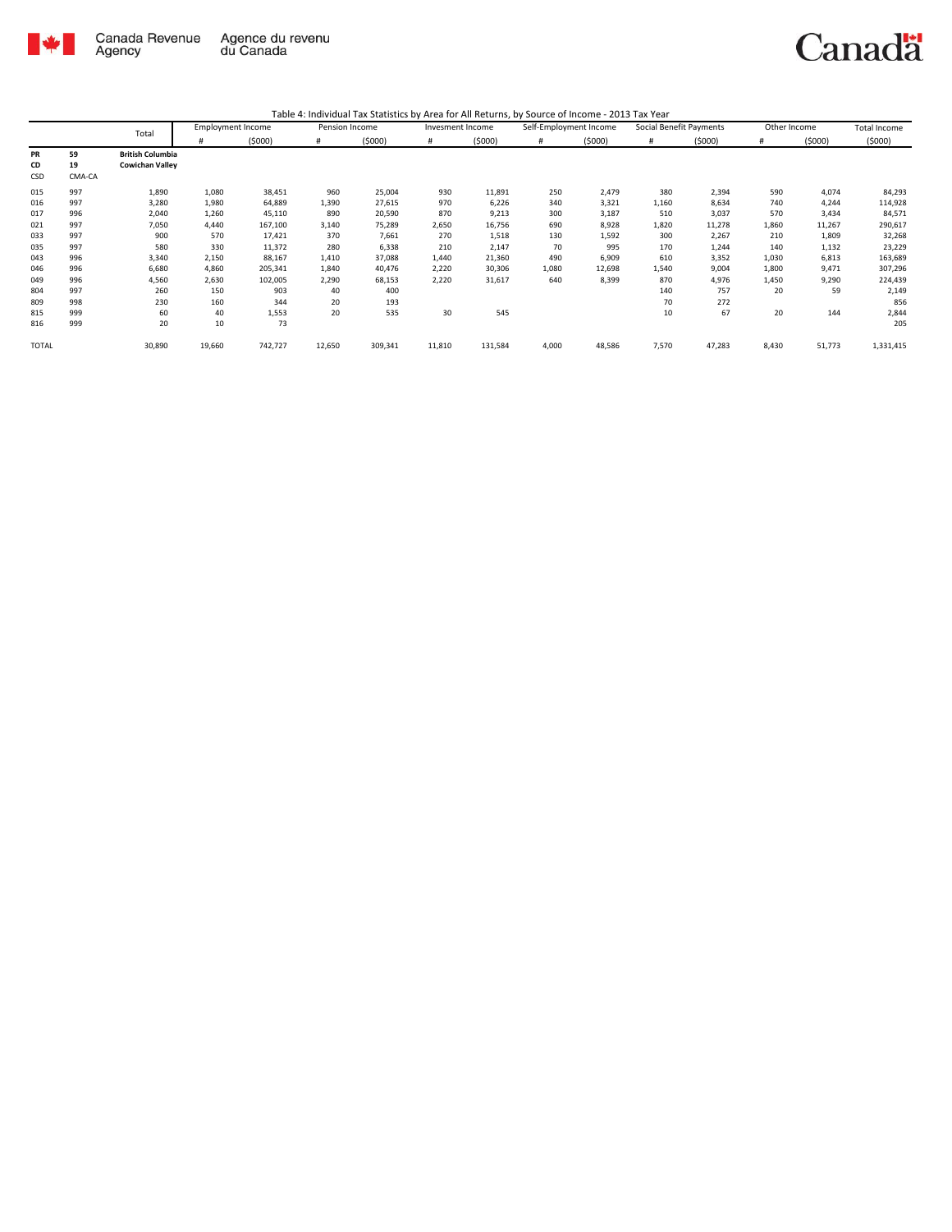

| Table 4: Individual Tax Statistics by Area for All Returns, by Source of Income - 2013 Tax Year |  |  |
|-------------------------------------------------------------------------------------------------|--|--|
|                                                                                                 |  |  |

|       |        | Total                   | <b>Employment Income</b> |         | Pension Income |         | Invesment Income |         | Self-Employment Income |        | Social Benefit Payments |        | Other Income |        | Total Income |
|-------|--------|-------------------------|--------------------------|---------|----------------|---------|------------------|---------|------------------------|--------|-------------------------|--------|--------------|--------|--------------|
|       |        |                         | #                        | (5000)  | #              | (5000)  | #                | (5000)  | #                      | (5000) | #                       | (5000) | #            | (5000) | (5000)       |
| PR    | 59     | <b>British Columbia</b> |                          |         |                |         |                  |         |                        |        |                         |        |              |        |              |
| CD    | 19     | <b>Cowichan Valley</b>  |                          |         |                |         |                  |         |                        |        |                         |        |              |        |              |
| CSD   | CMA-CA |                         |                          |         |                |         |                  |         |                        |        |                         |        |              |        |              |
| 015   | 997    | 1,890                   | 1,080                    | 38,451  | 960            | 25,004  | 930              | 11,891  | 250                    | 2,479  | 380                     | 2,394  | 590          | 4,074  | 84,293       |
| 016   | 997    | 3,280                   | 1,980                    | 64,889  | 1,390          | 27,615  | 970              | 6,226   | 340                    | 3,321  | 1,160                   | 8,634  | 740          | 4,244  | 114,928      |
| 017   | 996    | 2,040                   | 1,260                    | 45,110  | 890            | 20,590  | 870              | 9,213   | 300                    | 3,187  | 510                     | 3,037  | 570          | 3,434  | 84,571       |
| 021   | 997    | 7,050                   | 4,440                    | 167,100 | 3,140          | 75,289  | 2,650            | 16,756  | 690                    | 8,928  | 1,820                   | 11,278 | 1,860        | 11,267 | 290,617      |
| 033   | 997    | 900                     | 570                      | 17,421  | 370            | 7,661   | 270              | 1,518   | 130                    | 1,592  | 300                     | 2,267  | 210          | 1,809  | 32,268       |
| 035   | 997    | 580                     | 330                      | 11,372  | 280            | 6,338   | 210              | 2,147   | 70                     | 995    | 170                     | 1,244  | 140          | 1,132  | 23,229       |
| 043   | 996    | 3,340                   | 2,150                    | 88,167  | 1,410          | 37,088  | 1,440            | 21,360  | 490                    | 6,909  | 610                     | 3,352  | 1,030        | 6,813  | 163,689      |
| 046   | 996    | 6,680                   | 4,860                    | 205,341 | 1,840          | 40,476  | 2,220            | 30,306  | 1,080                  | 12,698 | 1,540                   | 9,004  | 1,800        | 9,471  | 307,296      |
| 049   | 996    | 4,560                   | 2,630                    | 102,005 | 2,290          | 68,153  | 2,220            | 31,617  | 640                    | 8,399  | 870                     | 4,976  | 1,450        | 9,290  | 224,439      |
| 804   | 997    | 260                     | 150                      | 903     | 40             | 400     |                  |         |                        |        | 140                     | 757    | 20           | 59     | 2,149        |
| 809   | 998    | 230                     | 160                      | 344     | 20             | 193     |                  |         |                        |        | 70                      | 272    |              |        | 856          |
| 815   | 999    | 60                      | 40                       | 1,553   | 20             | 535     | 30               | 545     |                        |        | 10                      | 67     | 20           | 144    | 2,844        |
| 816   | 999    | 20                      | 10                       | 73      |                |         |                  |         |                        |        |                         |        |              |        | 205          |
| TOTAL |        | 30,890                  | 19,660                   | 742,727 | 12,650         | 309,341 | 11,810           | 131,584 | 4,000                  | 48,586 | 7,570                   | 47,283 | 8,430        | 51,773 | 1,331,415    |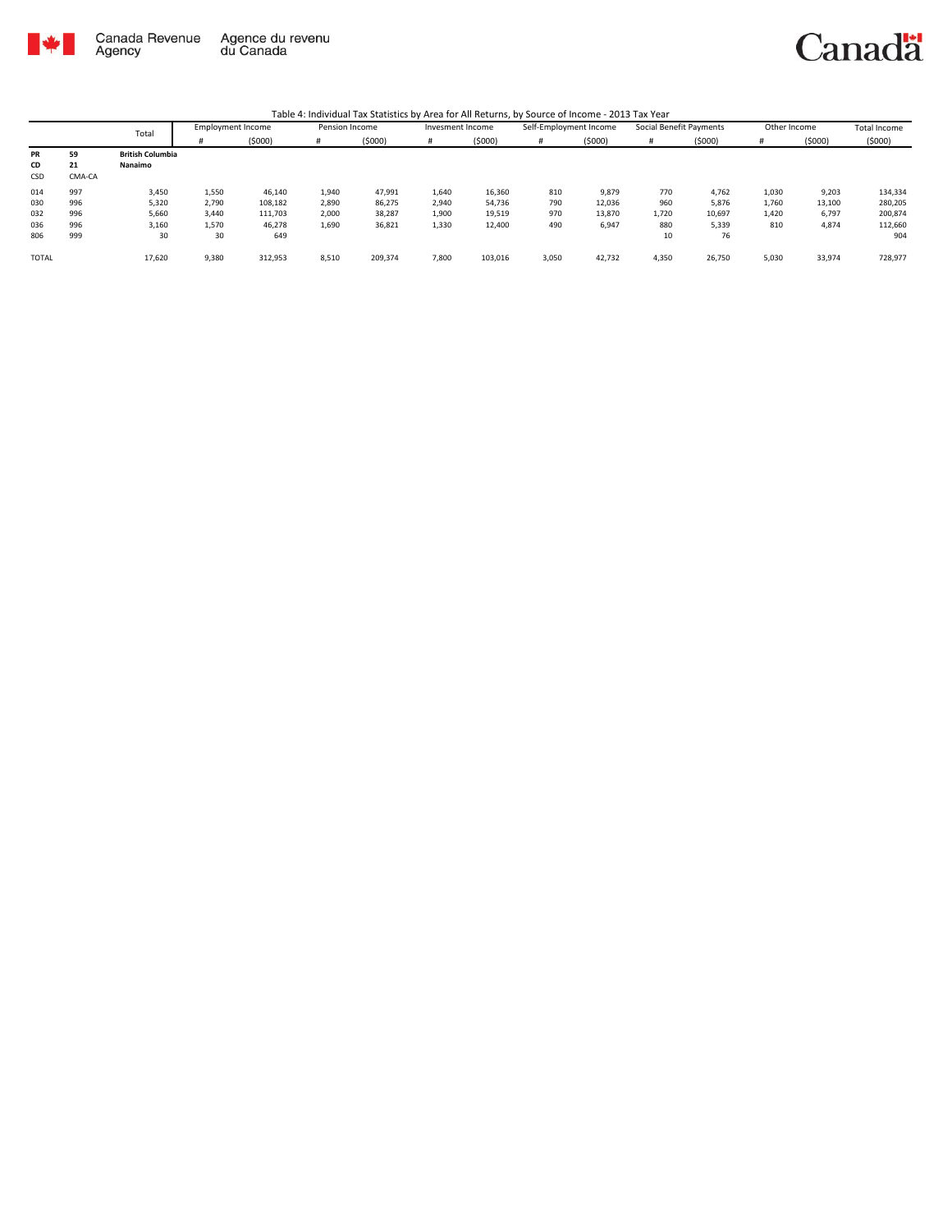

|       |        | Total                   | Employment Income |         | Pension Income |         | Invesment Income |         | Self-Employment Income |        | Social Benefit Payments |        | Other Income |        | <b>Total Income</b> |
|-------|--------|-------------------------|-------------------|---------|----------------|---------|------------------|---------|------------------------|--------|-------------------------|--------|--------------|--------|---------------------|
|       |        |                         |                   | (5000)  | #              | (5000)  |                  | (5000)  | #                      | (5000) |                         | (5000) | #            | (5000) | (5000)              |
| PR    | 59     | <b>British Columbia</b> |                   |         |                |         |                  |         |                        |        |                         |        |              |        |                     |
| CD    | 21     | Nanaimo                 |                   |         |                |         |                  |         |                        |        |                         |        |              |        |                     |
| CSD   | CMA-CA |                         |                   |         |                |         |                  |         |                        |        |                         |        |              |        |                     |
| 014   | 997    | 3,450                   | 1,550             | 46,140  | 1,940          | 47,991  | 1,640            | 16,360  | 810                    | 9,879  | 770                     | 4,762  | 1,030        | 9,203  | 134,334             |
| 030   | 996    | 5,320                   | 2,790             | 108,182 | 2,890          | 86,275  | 2,940            | 54,736  | 790                    | 12,036 | 960                     | 5,876  | 1,760        | 13,100 | 280,205             |
| 032   | 996    | 5,660                   | 3,440             | 111.703 | 2.000          | 38,287  | 1,900            | 19,519  | 970                    | 13.870 | 1,720                   | 10,697 | 1.420        | 6,797  | 200,874             |
| 036   | 996    | 3,160                   | 1,570             | 46,278  | 1,690          | 36,821  | 1,330            | 12,400  | 490                    | 6,947  | 880                     | 5,339  | 810          | 4,874  | 112,660             |
| 806   | 999    | 30                      | 30                | 649     |                |         |                  |         |                        |        | 10                      | 76     |              |        | 904                 |
|       |        |                         |                   |         |                |         |                  |         |                        |        |                         |        |              |        |                     |
| TOTAL |        | 17,620                  | 9,380             | 312,953 | 8,510          | 209,374 | 7,800            | 103,016 | 3,050                  | 42,732 | 4,350                   | 26,750 | 5,030        | 33,974 | 728,977             |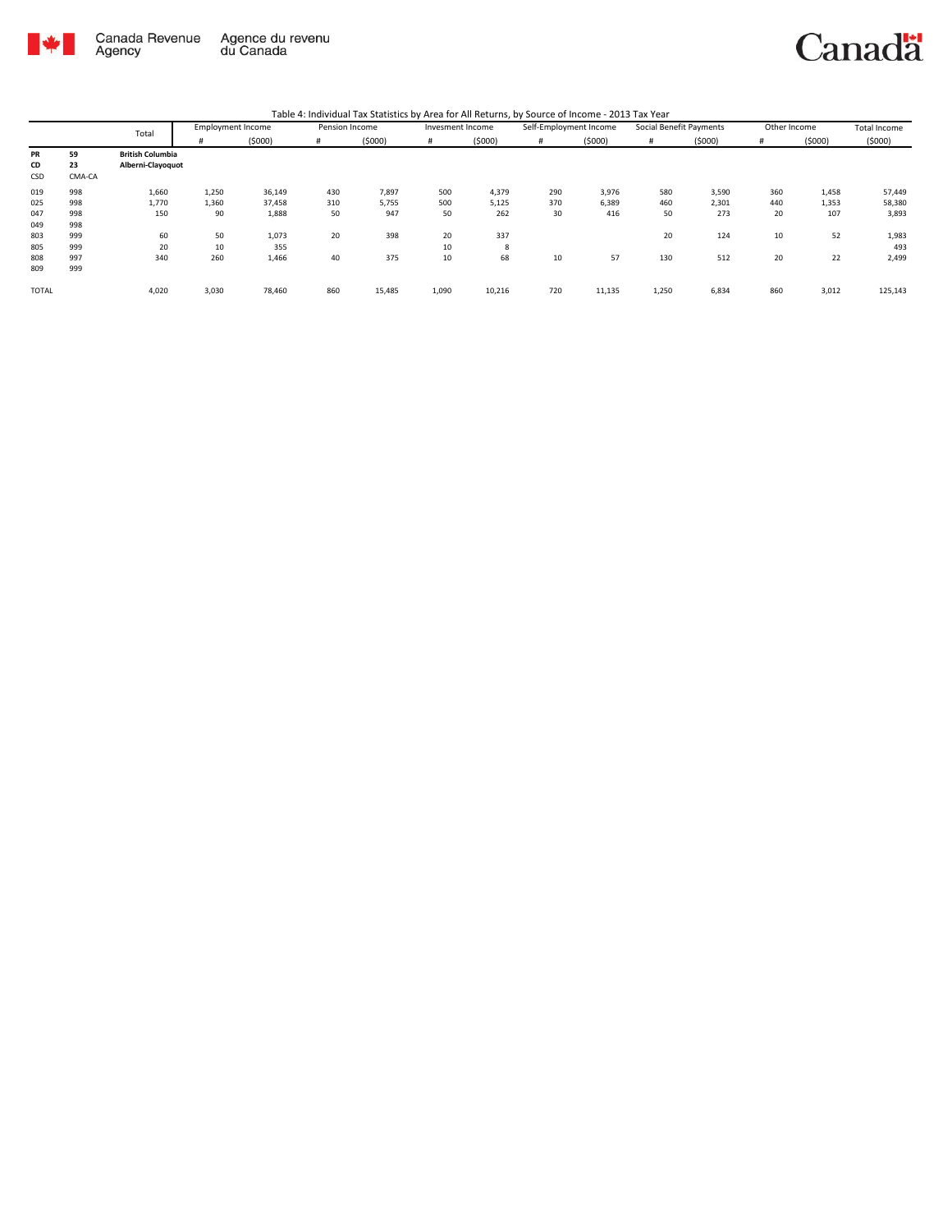

|              |        | Total                   | <b>Employment Income</b> |        | Pension Income |        | Invesment Income |        | Self-Employment Income |        | Social Benefit Payments |        | Other Income |        | <b>Total Income</b> |
|--------------|--------|-------------------------|--------------------------|--------|----------------|--------|------------------|--------|------------------------|--------|-------------------------|--------|--------------|--------|---------------------|
|              |        |                         | #                        | (5000) | #              | (5000) | #                | (5000) | #                      | (5000) | #                       | (5000) | #            | (5000) | (5000)              |
| PR           | 59     | <b>British Columbia</b> |                          |        |                |        |                  |        |                        |        |                         |        |              |        |                     |
| CD           | 23     | Alberni-Clayoquot       |                          |        |                |        |                  |        |                        |        |                         |        |              |        |                     |
| CSD          | CMA-CA |                         |                          |        |                |        |                  |        |                        |        |                         |        |              |        |                     |
| 019          | 998    | 1,660                   | 1,250                    | 36,149 | 430            | 7,897  | 500              | 4,379  | 290                    | 3,976  | 580                     | 3,590  | 360          | 1,458  | 57,449              |
| 025          | 998    | 1,770                   | 1,360                    | 37,458 | 310            | 5,755  | 500              | 5,125  | 370                    | 6,389  | 460                     | 2,301  | 440          | 1,353  | 58,380              |
| 047          | 998    | 150                     | 90                       | 1,888  | 50             | 947    | 50               | 262    | 30                     | 416    | 50                      | 273    | 20           | 107    | 3,893               |
| 049          | 998    |                         |                          |        |                |        |                  |        |                        |        |                         |        |              |        |                     |
| 803          | 999    | 60                      | 50                       | 1,073  | 20             | 398    | 20               | 337    |                        |        | 20                      | 124    | 10           | 52     | 1,983               |
| 805          | 999    | 20                      | 10                       | 355    |                |        | 10               | 8      |                        |        |                         |        |              |        | 493                 |
| 808          | 997    | 340                     | 260                      | 1,466  | 40             | 375    | 10               | 68     | 10                     | 57     | 130                     | 512    | 20           | 22     | 2,499               |
| 809          | 999    |                         |                          |        |                |        |                  |        |                        |        |                         |        |              |        |                     |
| <b>TOTAL</b> |        | 4,020                   | 3,030                    | 78,460 | 860            | 15,485 | 1,090            | 10,216 | 720                    | 11,135 | 1,250                   | 6,834  | 860          | 3,012  | 125,143             |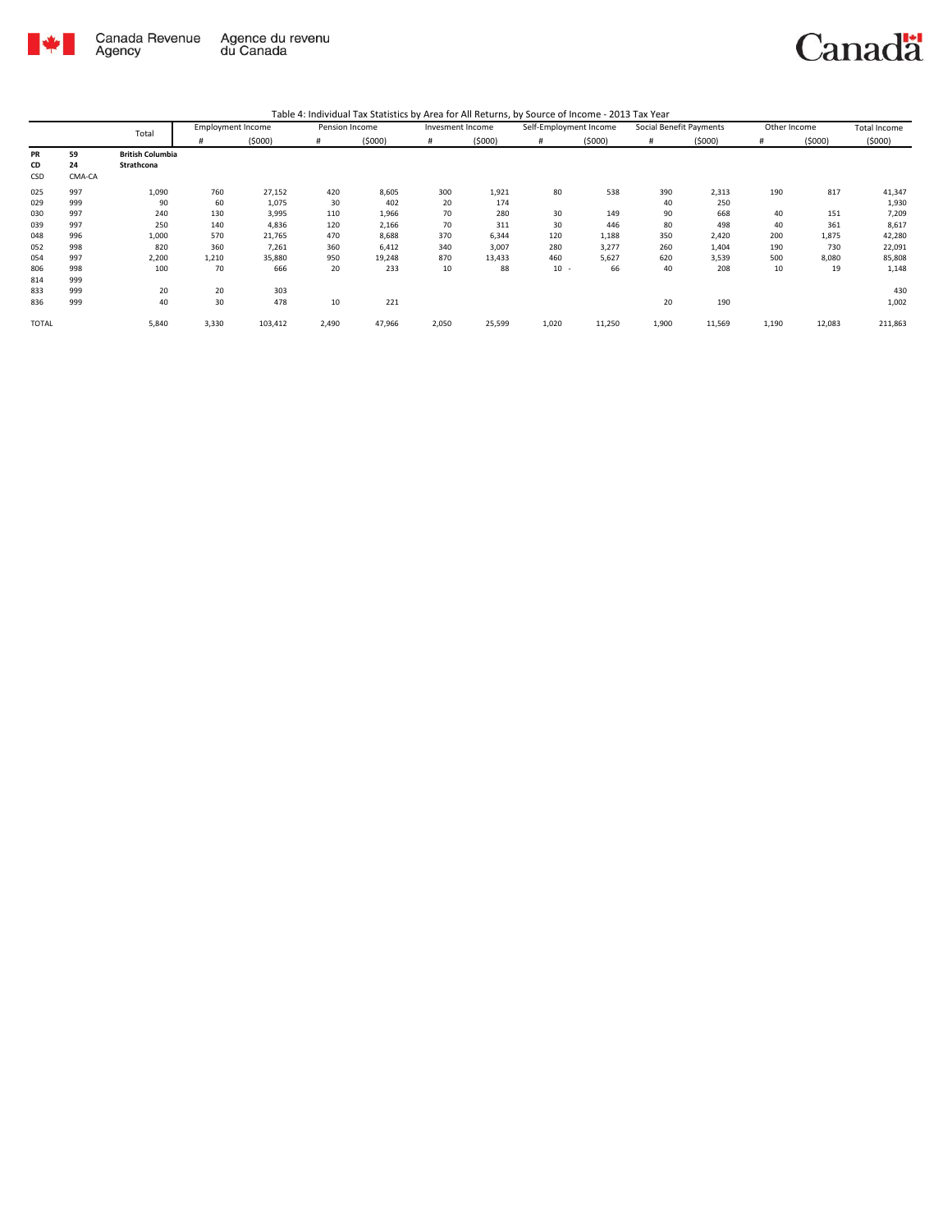

| Table 4: Individual Tax Statistics by Area for All Returns, by Source of Income - 2013 Tax Year |  |  |
|-------------------------------------------------------------------------------------------------|--|--|
|                                                                                                 |  |  |

|       |        | Total                   | <b>Employment Income</b> |         | Pension Income |        | Invesment Income |        | Self-Employment Income |        | Social Benefit Payments |        | Other Income |        | <b>Total Income</b> |
|-------|--------|-------------------------|--------------------------|---------|----------------|--------|------------------|--------|------------------------|--------|-------------------------|--------|--------------|--------|---------------------|
|       |        |                         | #                        | (5000)  | #              | (5000) |                  | (5000) | #                      | (5000) |                         | (5000) | Ħ            | (5000) | (5000)              |
| PR    | 59     | <b>British Columbia</b> |                          |         |                |        |                  |        |                        |        |                         |        |              |        |                     |
| CD    | 24     | Strathcona              |                          |         |                |        |                  |        |                        |        |                         |        |              |        |                     |
| CSD   | CMA-CA |                         |                          |         |                |        |                  |        |                        |        |                         |        |              |        |                     |
| 025   | 997    | 1,090                   | 760                      | 27,152  | 420            | 8,605  | 300              | 1,921  | 80                     | 538    | 390                     | 2,313  | 190          | 817    | 41,347              |
| 029   | 999    | 90                      | 60                       | 1,075   | 30             | 402    | 20               | 174    |                        |        | 40                      | 250    |              |        | 1,930               |
| 030   | 997    | 240                     | 130                      | 3,995   | 110            | 1,966  | 70               | 280    | 30                     | 149    | 90                      | 668    | 40           | 151    | 7,209               |
| 039   | 997    | 250                     | 140                      | 4,836   | 120            | 2,166  | 70               | 311    | 30                     | 446    | 80                      | 498    | 40           | 361    | 8,617               |
| 048   | 996    | 1,000                   | 570                      | 21,765  | 470            | 8,688  | 370              | 6,344  | 120                    | 1,188  | 350                     | 2,420  | 200          | 1,875  | 42,280              |
| 052   | 998    | 820                     | 360                      | 7,261   | 360            | 6,412  | 340              | 3,007  | 280                    | 3,277  | 260                     | 1,404  | 190          | 730    | 22,091              |
| 054   | 997    | 2,200                   | 1,210                    | 35,880  | 950            | 19,248 | 870              | 13,433 | 460                    | 5,627  | 620                     | 3,539  | 500          | 8,080  | 85,808              |
| 806   | 998    | 100                     | 70                       | 666     | 20             | 233    | 10               | 88     | $10 -$                 | 66     | 40                      | 208    | 10           | 19     | 1,148               |
| 814   | 999    |                         |                          |         |                |        |                  |        |                        |        |                         |        |              |        |                     |
| 833   | 999    | 20                      | 20                       | 303     |                |        |                  |        |                        |        |                         |        |              |        | 430                 |
| 836   | 999    | 40                      | 30                       | 478     | 10             | 221    |                  |        |                        |        | 20                      | 190    |              |        | 1,002               |
| TOTAL |        | 5,840                   | 3,330                    | 103,412 | 2,490          | 47,966 | 2,050            | 25,599 | 1,020                  | 11,250 | 1,900                   | 11,569 | 1,190        | 12,083 | 211,863             |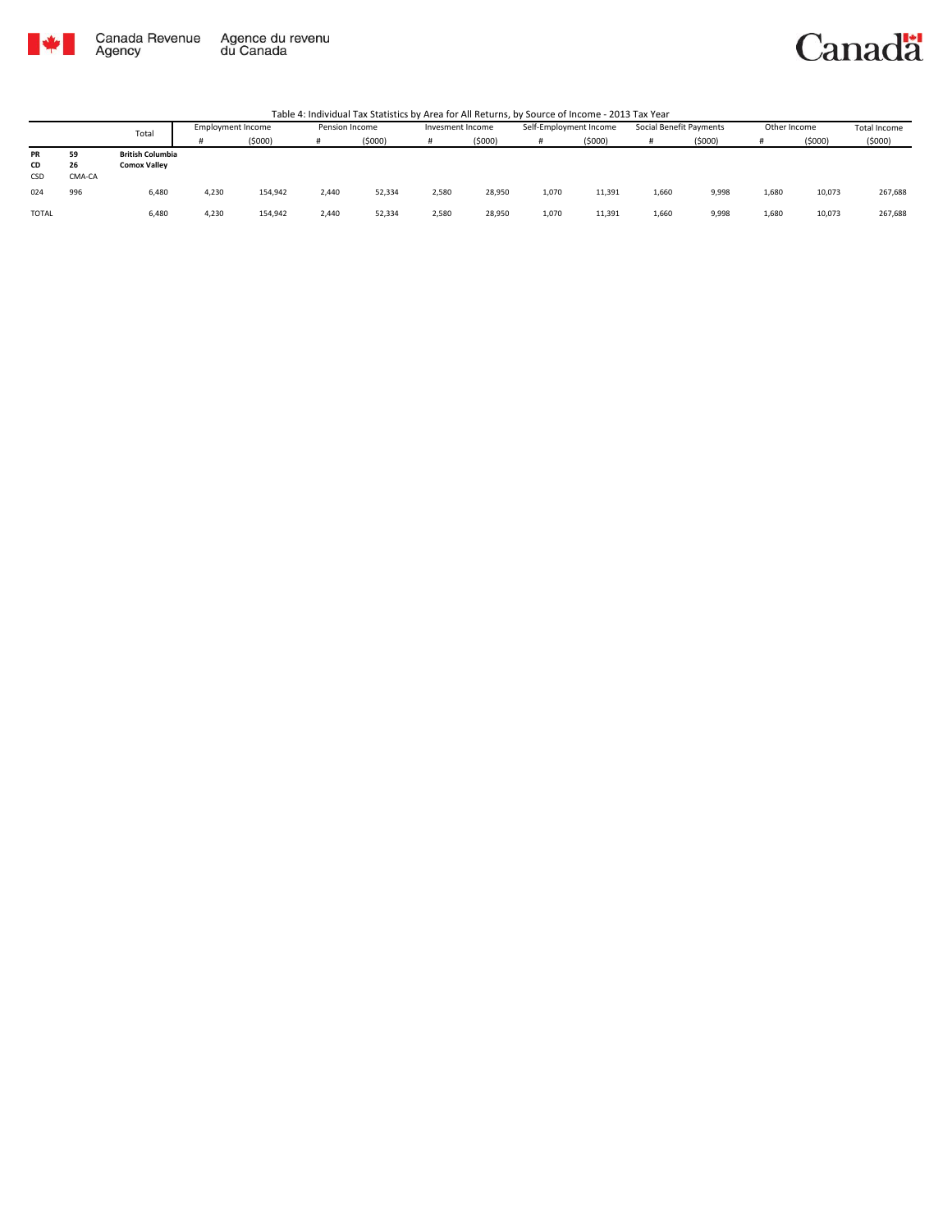

Canada Revenue<br>Agency Agence du revenu<br>du Canada

#### Canadä

|           |        | Total                   | <b>Employment Income</b> |         | Pension Income |        | Invesment Income |        | Self-Employment Income |        | Social Benefit Payments |        | Other Income |        | Total Income |
|-----------|--------|-------------------------|--------------------------|---------|----------------|--------|------------------|--------|------------------------|--------|-------------------------|--------|--------------|--------|--------------|
|           |        |                         |                          | (5000)  |                | (5000) |                  | (5000) |                        | (5000) |                         | (5000) |              | (5000) | (5000)       |
| <b>PR</b> | 59     | <b>British Columbia</b> |                          |         |                |        |                  |        |                        |        |                         |        |              |        |              |
| CD        | 26     | <b>Comox Valley</b>     |                          |         |                |        |                  |        |                        |        |                         |        |              |        |              |
| CSD       | CMA-CA |                         |                          |         |                |        |                  |        |                        |        |                         |        |              |        |              |
| 024       | 996    | 6,480                   | 4.230                    | 154,942 | 2.440          | 52,334 | 2,580            | 28,950 | 1,070                  | 11.391 | 1,660                   | 9,998  | 1.680        | 10,073 | 267,688      |
| TOTAL     |        | 6,480                   | 4.230                    | 154,942 | 2.440          | 52,334 | 2.580            | 28,950 | 1,070                  | 11.391 | 1,660                   | 9,998  | 1.680        | 10,073 | 267,688      |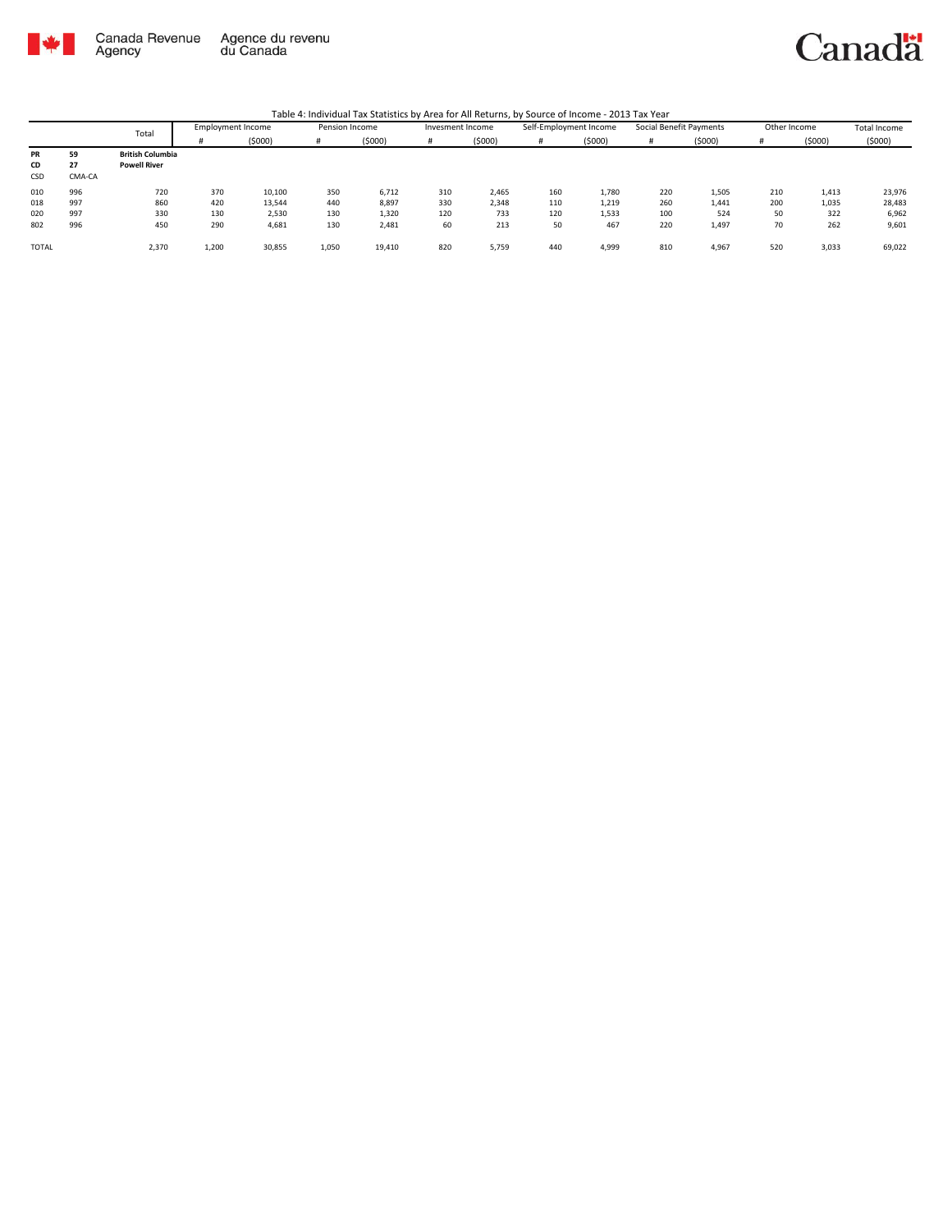

Canada Revenue<br>Agency Agence du revenu<br>du Canada



|              |        |                         |                          |        |                |        |                  |        | <i>.</i>               |        |                         |        |              |        |              |
|--------------|--------|-------------------------|--------------------------|--------|----------------|--------|------------------|--------|------------------------|--------|-------------------------|--------|--------------|--------|--------------|
|              |        | Total                   | <b>Employment Income</b> |        | Pension Income |        | Invesment Income |        | Self-Employment Income |        | Social Benefit Payments |        | Other Income |        | Total Income |
|              |        |                         |                          | (5000) | #              | (5000) |                  | (5000) | #                      | (5000) |                         | (5000) |              | (5000) | (5000)       |
| PR           | 59     | <b>British Columbia</b> |                          |        |                |        |                  |        |                        |        |                         |        |              |        |              |
| CD           | 27     | <b>Powell River</b>     |                          |        |                |        |                  |        |                        |        |                         |        |              |        |              |
| CSD          | CMA-CA |                         |                          |        |                |        |                  |        |                        |        |                         |        |              |        |              |
| 010          | 996    | 720                     | 370                      | 10,100 | 350            | 6,712  | 310              | 2,465  | 160                    | 1,780  | 220                     | 1,505  | 210          | 1,413  | 23,976       |
| 018          | 997    | 860                     | 420                      | 13,544 | 440            | 8,897  | 330              | 2,348  | 110                    | 1,219  | 260                     | 1,441  | 200          | 1,035  | 28,483       |
| 020          | 997    | 330                     | 130                      | 2,530  | 130            | 1,320  | 120              | 733    | 120                    | 1,533  | 100                     | 524    | 50           | 322    | 6,962        |
| 802          | 996    | 450                     | 290                      | 4,681  | 130            | 2,481  | 60               | 213    | 50                     | 467    | 220                     | 1,497  | 70           | 262    | 9,601        |
| <b>TOTAL</b> |        | 2,370                   | 1,200                    | 30,855 | 1,050          | 19,410 | 820              | 5,759  | 440                    | 4,999  | 810                     | 4,967  | 520          | 3,033  | 69,022       |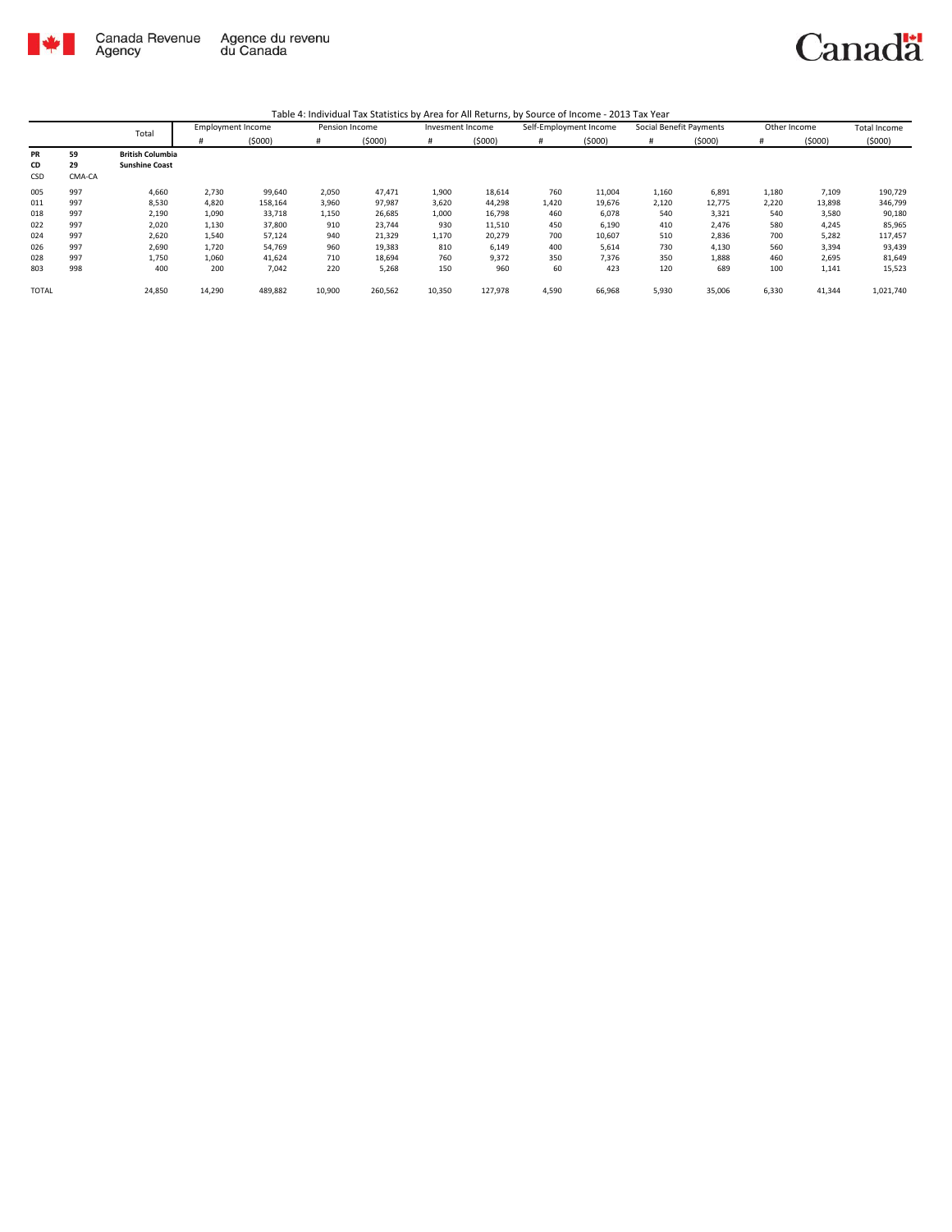

|              |        | Total                   | <b>Employment Income</b> |         | Pension Income |         | Invesment Income |         | Self-Employment Income |        | Social Benefit Payments |        | Other Income |        | <b>Total Income</b> |
|--------------|--------|-------------------------|--------------------------|---------|----------------|---------|------------------|---------|------------------------|--------|-------------------------|--------|--------------|--------|---------------------|
|              |        |                         |                          | (5000)  | #              | (5000)  | #                | (5000)  | #                      | (5000) | #                       | (5000) | #            | (5000) | (5000)              |
| <b>PR</b>    | 59     | <b>British Columbia</b> |                          |         |                |         |                  |         |                        |        |                         |        |              |        |                     |
| CD           | 29     | <b>Sunshine Coast</b>   |                          |         |                |         |                  |         |                        |        |                         |        |              |        |                     |
| CSD          | CMA-CA |                         |                          |         |                |         |                  |         |                        |        |                         |        |              |        |                     |
| 005          | 997    | 4,660                   | 2,730                    | 99,640  | 2,050          | 47,471  | 1,900            | 18,614  | 760                    | 11,004 | 1,160                   | 6,891  | 1,180        | 7,109  | 190,729             |
| 011          | 997    | 8,530                   | 4,820                    | 158,164 | 3,960          | 97,987  | 3,620            | 44,298  | 1,420                  | 19,676 | 2,120                   | 12,775 | 2,220        | 13,898 | 346,799             |
| 018          | 997    | 2,190                   | 1,090                    | 33,718  | 1,150          | 26,685  | 1,000            | 16,798  | 460                    | 6,078  | 540                     | 3,321  | 540          | 3,580  | 90,180              |
| 022          | 997    | 2,020                   | 1,130                    | 37,800  | 910            | 23,744  | 930              | 11,510  | 450                    | 6,190  | 410                     | 2,476  | 580          | 4,245  | 85,965              |
| 024          | 997    | 2,620                   | 1,540                    | 57,124  | 940            | 21,329  | 1,170            | 20,279  | 700                    | 10,607 | 510                     | 2,836  | 700          | 5,282  | 117,457             |
| 026          | 997    | 2,690                   | 1,720                    | 54,769  | 960            | 19,383  | 810              | 6,149   | 400                    | 5,614  | 730                     | 4,130  | 560          | 3,394  | 93,439              |
| 028          | 997    | 1.750                   | 1,060                    | 41,624  | 710            | 18,694  | 760              | 9,372   | 350                    | 7,376  | 350                     | 1,888  | 460          | 2,695  | 81,649              |
| 803          | 998    | 400                     | 200                      | 7,042   | 220            | 5,268   | 150              | 960     | 60                     | 423    | 120                     | 689    | 100          | 1,141  | 15,523              |
| <b>TOTAL</b> |        | 24,850                  | 14,290                   | 489,882 | 10,900         | 260,562 | 10,350           | 127,978 | 4,590                  | 66,968 | 5,930                   | 35,006 | 6,330        | 41,344 | 1,021,740           |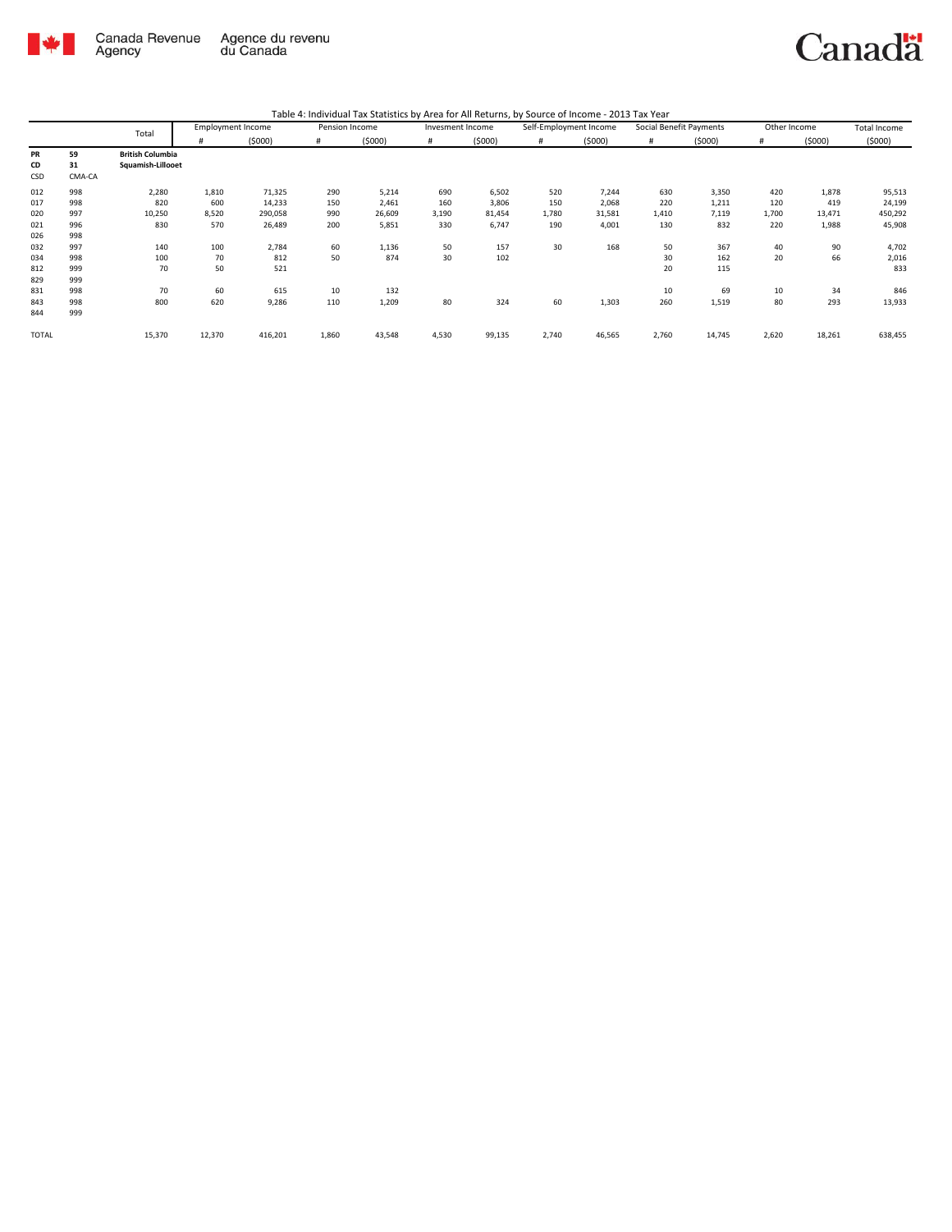

| Table 4: Individual Tax Statistics by Area for All Returns, by Source of Income - 2013 Tax Year |  |
|-------------------------------------------------------------------------------------------------|--|
|-------------------------------------------------------------------------------------------------|--|

|              |        | Total                   | <b>Employment Income</b> |         | Pension Income |        | Invesment Income |        | Self-Employment Income |        | Social Benefit Payments |        | Other Income |        | <b>Total Income</b> |
|--------------|--------|-------------------------|--------------------------|---------|----------------|--------|------------------|--------|------------------------|--------|-------------------------|--------|--------------|--------|---------------------|
|              |        |                         | #                        | (5000)  | #              | (5000) | #                | (5000) | #                      | (5000) | #                       | (5000) | #            | (5000) | (5000)              |
| <b>PR</b>    | 59     | <b>British Columbia</b> |                          |         |                |        |                  |        |                        |        |                         |        |              |        |                     |
| CD           | 31     | Squamish-Lillooet       |                          |         |                |        |                  |        |                        |        |                         |        |              |        |                     |
| CSD          | CMA-CA |                         |                          |         |                |        |                  |        |                        |        |                         |        |              |        |                     |
| 012          | 998    | 2,280                   | 1,810                    | 71,325  | 290            | 5,214  | 690              | 6,502  | 520                    | 7,244  | 630                     | 3,350  | 420          | 1,878  | 95,513              |
| 017          | 998    | 820                     | 600                      | 14,233  | 150            | 2,461  | 160              | 3,806  | 150                    | 2,068  | 220                     | 1,211  | 120          | 419    | 24,199              |
| 020          | 997    | 10,250                  | 8,520                    | 290,058 | 990            | 26,609 | 3,190            | 81,454 | 1,780                  | 31,581 | 1,410                   | 7,119  | 1,700        | 13,471 | 450,292             |
| 021          | 996    | 830                     | 570                      | 26,489  | 200            | 5,851  | 330              | 6,747  | 190                    | 4,001  | 130                     | 832    | 220          | 1,988  | 45,908              |
| 026          | 998    |                         |                          |         |                |        |                  |        |                        |        |                         |        |              |        |                     |
| 032          | 997    | 140                     | 100                      | 2,784   | 60             | 1,136  | 50               | 157    | 30                     | 168    | 50                      | 367    | 40           | 90     | 4,702               |
| 034          | 998    | 100                     | 70                       | 812     | 50             | 874    | 30               | 102    |                        |        | 30                      | 162    | 20           | 66     | 2,016               |
| 812          | 999    | 70                      | 50                       | 521     |                |        |                  |        |                        |        | 20                      | 115    |              |        | 833                 |
| 829          | 999    |                         |                          |         |                |        |                  |        |                        |        |                         |        |              |        |                     |
| 831          | 998    | 70                      | 60                       | 615     | 10             | 132    |                  |        |                        |        | 10                      | 69     | 10           | 34     | 846                 |
| 843          | 998    | 800                     | 620                      | 9,286   | 110            | 1,209  | 80               | 324    | 60                     | 1,303  | 260                     | 1,519  | 80           | 293    | 13,933              |
| 844          | 999    |                         |                          |         |                |        |                  |        |                        |        |                         |        |              |        |                     |
| <b>TOTAL</b> |        | 15,370                  | 12,370                   | 416,201 | 1,860          | 43,548 | 4,530            | 99,135 | 2,740                  | 46,565 | 2,760                   | 14,745 | 2,620        | 18,261 | 638,455             |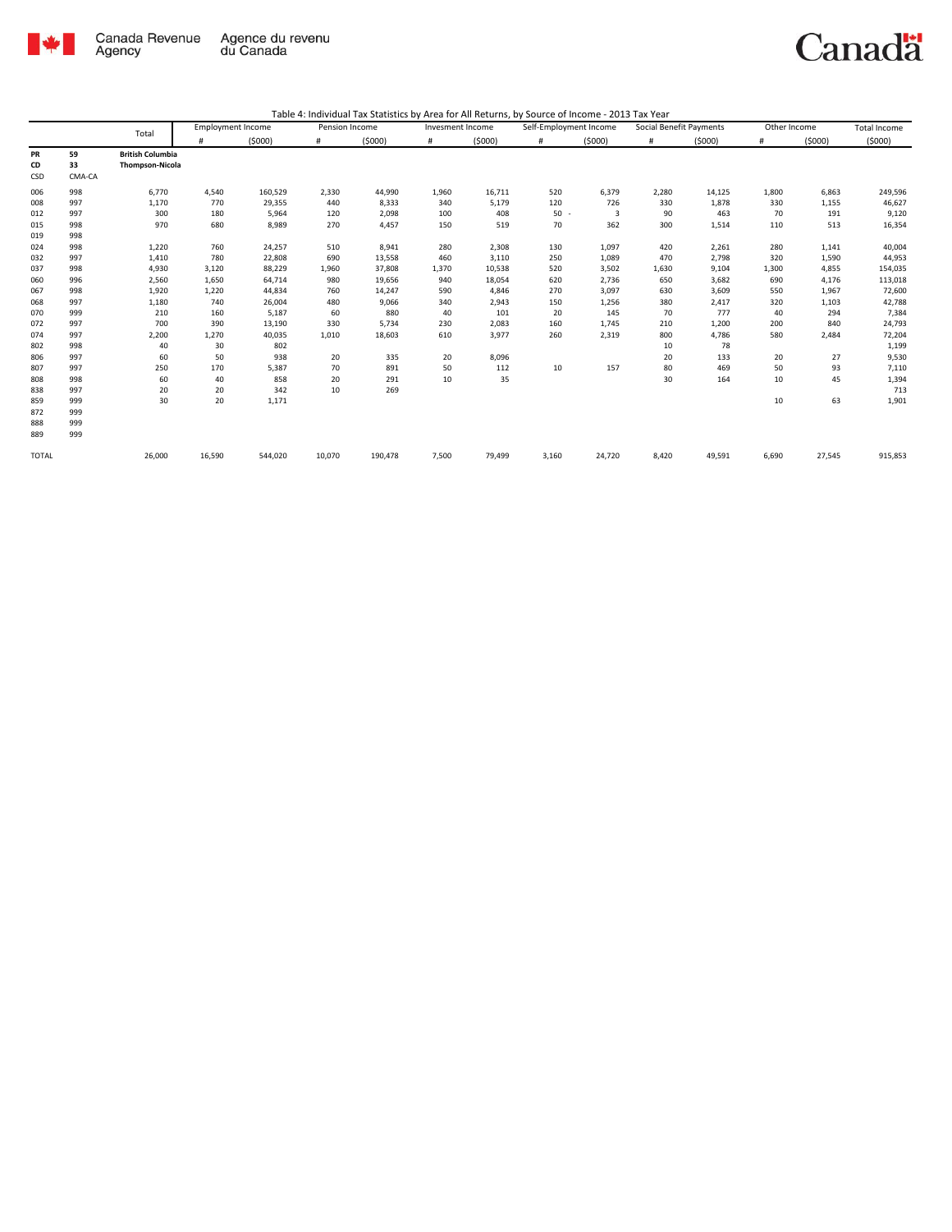

|  |  | Table 4: Individual Tax Statistics by Area for All Returns, by Source of Income - 2013 Tax Year |
|--|--|-------------------------------------------------------------------------------------------------|
|--|--|-------------------------------------------------------------------------------------------------|

|                        |                    | Total                                             | <b>Employment Income</b> |         | Pension Income |         | Invesment Income |        | Self-Employment Income |        | Social Benefit Payments |        | Other Income |        | <b>Total Income</b> |
|------------------------|--------------------|---------------------------------------------------|--------------------------|---------|----------------|---------|------------------|--------|------------------------|--------|-------------------------|--------|--------------|--------|---------------------|
|                        |                    |                                                   | #                        | (5000)  | #              | (5000)  | #                | (5000) | $\#$                   | (5000) | #                       | (5000) | #            | (5000) | (5000)              |
| <b>PR</b><br>CD<br>CSD | 59<br>33<br>CMA-CA | <b>British Columbia</b><br><b>Thompson-Nicola</b> |                          |         |                |         |                  |        |                        |        |                         |        |              |        |                     |
| 006                    | 998                | 6,770                                             | 4,540                    | 160,529 | 2,330          | 44,990  | 1,960            | 16,711 | 520                    | 6,379  | 2,280                   | 14,125 | 1,800        | 6,863  | 249,596             |
| 008                    | 997                | 1,170                                             | 770                      | 29,355  | 440            | 8,333   | 340              | 5,179  | 120                    | 726    | 330                     | 1,878  | 330          | 1,155  | 46,627              |
| 012                    | 997                | 300                                               | 180                      | 5,964   | 120            | 2,098   | 100              | 408    | $50 -$                 | 3      | 90                      | 463    | 70           | 191    | 9,120               |
| 015<br>019             | 998<br>998         | 970                                               | 680                      | 8,989   | 270            | 4,457   | 150              | 519    | 70                     | 362    | 300                     | 1,514  | 110          | 513    | 16,354              |
| 024                    | 998                | 1,220                                             | 760                      | 24,257  | 510            | 8,941   | 280              | 2,308  | 130                    | 1,097  | 420                     | 2,261  | 280          | 1,141  | 40,004              |
| 032                    | 997                | 1,410                                             | 780                      | 22,808  | 690            | 13,558  | 460              | 3,110  | 250                    | 1,089  | 470                     | 2,798  | 320          | 1,590  | 44,953              |
| 037                    | 998                | 4,930                                             | 3,120                    | 88,229  | 1,960          | 37,808  | 1,370            | 10,538 | 520                    | 3,502  | 1,630                   | 9,104  | 1,300        | 4,855  | 154,035             |
| 060                    | 996                | 2,560                                             | 1,650                    | 64,714  | 980            | 19,656  | 940              | 18,054 | 620                    | 2,736  | 650                     | 3,682  | 690          | 4,176  | 113,018             |
| 067                    | 998                | 1,920                                             | 1,220                    | 44,834  | 760            | 14,247  | 590              | 4,846  | 270                    | 3,097  | 630                     | 3,609  | 550          | 1,967  | 72,600              |
| 068                    | 997                | 1,180                                             | 740                      | 26,004  | 480            | 9,066   | 340              | 2,943  | 150                    | 1,256  | 380                     | 2,417  | 320          | 1,103  | 42,788              |
| 070                    | 999                | 210                                               | 160                      | 5,187   | 60             | 880     | 40               | 101    | 20                     | 145    | 70                      | 777    | 40           | 294    | 7,384               |
| 072                    | 997                | 700                                               | 390                      | 13,190  | 330            | 5,734   | 230              | 2,083  | 160                    | 1,745  | 210                     | 1,200  | 200          | 840    | 24,793              |
| 074                    | 997                | 2,200                                             | 1,270                    | 40,035  | 1,010          | 18,603  | 610              | 3,977  | 260                    | 2,319  | 800                     | 4,786  | 580          | 2,484  | 72,204              |
| 802                    | 998                | 40                                                | 30                       | 802     |                |         |                  |        |                        |        | 10                      | 78     |              |        | 1,199               |
| 806                    | 997                | 60                                                | 50                       | 938     | 20             | 335     | 20               | 8,096  |                        |        | 20                      | 133    | 20           | 27     | 9,530               |
| 807                    | 997                | 250                                               | 170                      | 5,387   | 70             | 891     | 50               | 112    | 10                     | 157    | 80                      | 469    | 50           | 93     | 7,110               |
| 808                    | 998                | 60                                                | 40                       | 858     | 20             | 291     | 10               | 35     |                        |        | 30                      | 164    | 10           | 45     | 1,394               |
| 838                    | 997                | 20                                                | 20                       | 342     | 10             | 269     |                  |        |                        |        |                         |        |              |        | 713                 |
| 859                    | 999                | 30                                                | 20                       | 1,171   |                |         |                  |        |                        |        |                         |        | 10           | 63     | 1,901               |
| 872                    | 999                |                                                   |                          |         |                |         |                  |        |                        |        |                         |        |              |        |                     |
| 888                    | 999                |                                                   |                          |         |                |         |                  |        |                        |        |                         |        |              |        |                     |
| 889                    | 999                |                                                   |                          |         |                |         |                  |        |                        |        |                         |        |              |        |                     |
| <b>TOTAL</b>           |                    | 26,000                                            | 16,590                   | 544,020 | 10,070         | 190,478 | 7,500            | 79,499 | 3,160                  | 24,720 | 8,420                   | 49,591 | 6,690        | 27,545 | 915,853             |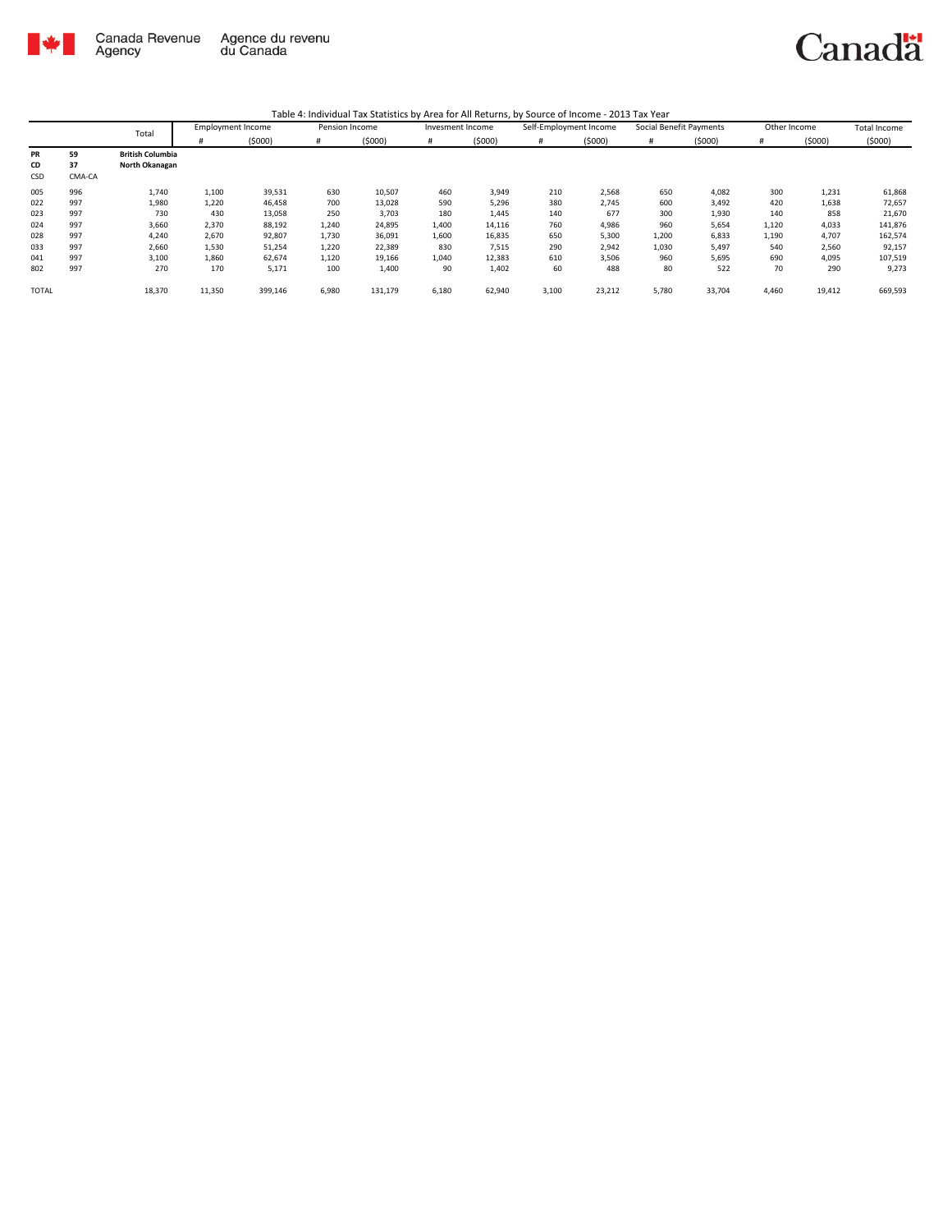

|              |        | Total                   | <b>Employment Income</b> |         | Pension Income |         | Invesment Income |        | Self-Employment Income |        | Social Benefit Payments |        | Other Income |        | <b>Total Income</b> |
|--------------|--------|-------------------------|--------------------------|---------|----------------|---------|------------------|--------|------------------------|--------|-------------------------|--------|--------------|--------|---------------------|
|              |        |                         |                          | (5000)  | #              | (5000)  | #                | (5000) | #                      | (5000) | #                       | (5000) | #            | (5000) | (5000)              |
| <b>PR</b>    | 59     | <b>British Columbia</b> |                          |         |                |         |                  |        |                        |        |                         |        |              |        |                     |
| CD           | 37     | North Okanagan          |                          |         |                |         |                  |        |                        |        |                         |        |              |        |                     |
| CSD          | CMA-CA |                         |                          |         |                |         |                  |        |                        |        |                         |        |              |        |                     |
| 005          | 996    | 1,740                   | 1,100                    | 39,531  | 630            | 10,507  | 460              | 3,949  | 210                    | 2,568  | 650                     | 4,082  | 300          | 1,231  | 61,868              |
| 022          | 997    | 1,980                   | 1,220                    | 46,458  | 700            | 13,028  | 590              | 5,296  | 380                    | 2,745  | 600                     | 3,492  | 420          | 1,638  | 72,657              |
| 023          | 997    | 730                     | 430                      | 13,058  | 250            | 3,703   | 180              | 1,445  | 140                    | 677    | 300                     | 1,930  | 140          | 858    | 21,670              |
| 024          | 997    | 3,660                   | 2,370                    | 88,192  | 1,240          | 24,895  | 1,400            | 14,116 | 760                    | 4,986  | 960                     | 5,654  | 1,120        | 4,033  | 141,876             |
| 028          | 997    | 4,240                   | 2,670                    | 92,807  | 1,730          | 36,091  | 1,600            | 16,835 | 650                    | 5,300  | 1,200                   | 6,833  | 1,190        | 4,707  | 162,574             |
| 033          | 997    | 2,660                   | 1,530                    | 51,254  | 1,220          | 22,389  | 830              | 7,515  | 290                    | 2,942  | 1,030                   | 5,497  | 540          | 2,560  | 92,157              |
| 041          | 997    | 3,100                   | 1,860                    | 62,674  | 1,120          | 19,166  | 1,040            | 12,383 | 610                    | 3,506  | 960                     | 5,695  | 690          | 4,095  | 107,519             |
| 802          | 997    | 270                     | 170                      | 5,171   | 100            | 1,400   | 90               | 1,402  | 60                     | 488    | 80                      | 522    | 70           | 290    | 9,273               |
| <b>TOTAL</b> |        | 18,370                  | 11,350                   | 399,146 | 6,980          | 131,179 | 6,180            | 62,940 | 3,100                  | 23,212 | 5,780                   | 33,704 | 4,460        | 19,412 | 669,593             |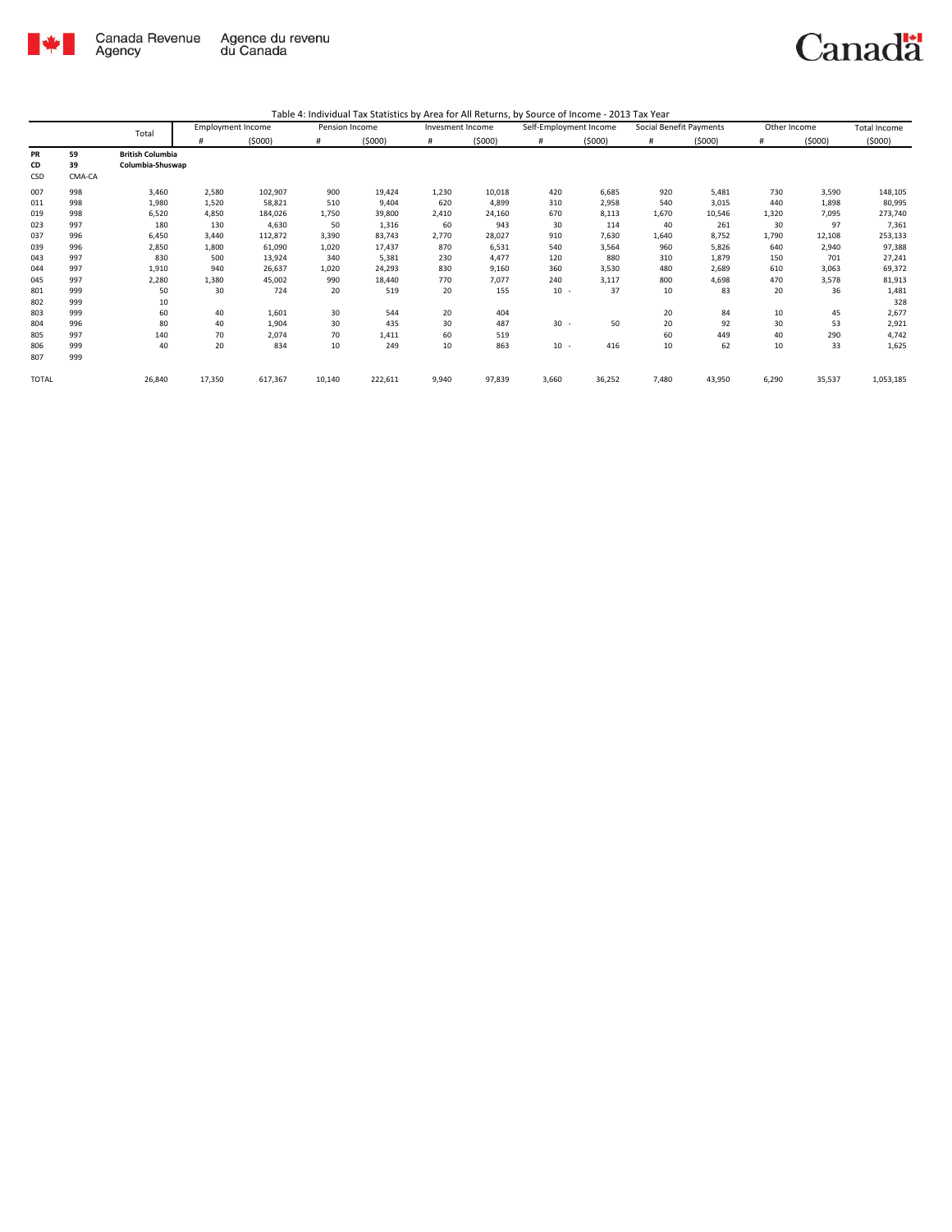

|              |        | Total                   | <b>Employment Income</b> |         | Pension Income |         | Invesment Income |        | Self-Employment Income |        | Social Benefit Payments |        | Other Income |        | Total Income |
|--------------|--------|-------------------------|--------------------------|---------|----------------|---------|------------------|--------|------------------------|--------|-------------------------|--------|--------------|--------|--------------|
|              |        |                         | #                        | (5000)  | #              | (5000)  | #                | (5000) | #                      | (5000) | #                       | (5000) | #            | (5000) | (5000)       |
| <b>PR</b>    | 59     | <b>British Columbia</b> |                          |         |                |         |                  |        |                        |        |                         |        |              |        |              |
| CD           | 39     | Columbia-Shuswap        |                          |         |                |         |                  |        |                        |        |                         |        |              |        |              |
| CSD          | CMA-CA |                         |                          |         |                |         |                  |        |                        |        |                         |        |              |        |              |
| 007          | 998    | 3,460                   | 2,580                    | 102,907 | 900            | 19,424  | 1,230            | 10,018 | 420                    | 6,685  | 920                     | 5,481  | 730          | 3,590  | 148,105      |
| 011          | 998    | 1,980                   | 1,520                    | 58,821  | 510            | 9,404   | 620              | 4,899  | 310                    | 2,958  | 540                     | 3,015  | 440          | 1,898  | 80,995       |
| 019          | 998    | 6,520                   | 4,850                    | 184,026 | 1,750          | 39,800  | 2,410            | 24,160 | 670                    | 8,113  | 1,670                   | 10,546 | 1,320        | 7,095  | 273,740      |
| 023          | 997    | 180                     | 130                      | 4,630   | 50             | 1,316   | 60               | 943    | 30                     | 114    | 40                      | 261    | 30           | 97     | 7,361        |
| 037          | 996    | 6,450                   | 3,440                    | 112,872 | 3,390          | 83,743  | 2,770            | 28,027 | 910                    | 7,630  | 1,640                   | 8,752  | 1,790        | 12,108 | 253,133      |
| 039          | 996    | 2,850                   | 1,800                    | 61,090  | 1,020          | 17,437  | 870              | 6,531  | 540                    | 3,564  | 960                     | 5,826  | 640          | 2,940  | 97,388       |
| 043          | 997    | 830                     | 500                      | 13,924  | 340            | 5,381   | 230              | 4,477  | 120                    | 880    | 310                     | 1,879  | 150          | 701    | 27,241       |
| 044          | 997    | 1,910                   | 940                      | 26,637  | 1,020          | 24,293  | 830              | 9,160  | 360                    | 3,530  | 480                     | 2,689  | 610          | 3,063  | 69,372       |
| 045          | 997    | 2,280                   | 1,380                    | 45,002  | 990            | 18,440  | 770              | 7,077  | 240                    | 3,117  | 800                     | 4,698  | 470          | 3,578  | 81,913       |
| 801          | 999    | 50                      | 30                       | 724     | 20             | 519     | 20               | 155    | $10 -$                 | 37     | 10                      | 83     | 20           | 36     | 1,481        |
| 802          | 999    | 10                      |                          |         |                |         |                  |        |                        |        |                         |        |              |        | 328          |
| 803          | 999    | 60                      | 40                       | 1,601   | 30             | 544     | 20               | 404    |                        |        | 20                      | 84     | 10           | 45     | 2,677        |
| 804          | 996    | 80                      | 40                       | 1,904   | 30             | 435     | 30               | 487    | $30 -$                 | 50     | 20                      | 92     | 30           | 53     | 2,921        |
| 805          | 997    | 140                     | 70                       | 2,074   | 70             | 1,411   | 60               | 519    |                        |        | 60                      | 449    | 40           | 290    | 4,742        |
| 806          | 999    | 40                      | 20                       | 834     | 10             | 249     | 10               | 863    | $10 -$                 | 416    | 10                      | 62     | 10           | 33     | 1,625        |
| 807          | 999    |                         |                          |         |                |         |                  |        |                        |        |                         |        |              |        |              |
| <b>TOTAL</b> |        | 26,840                  | 17,350                   | 617,367 | 10,140         | 222,611 | 9,940            | 97,839 | 3,660                  | 36,252 | 7,480                   | 43,950 | 6,290        | 35,537 | 1,053,185    |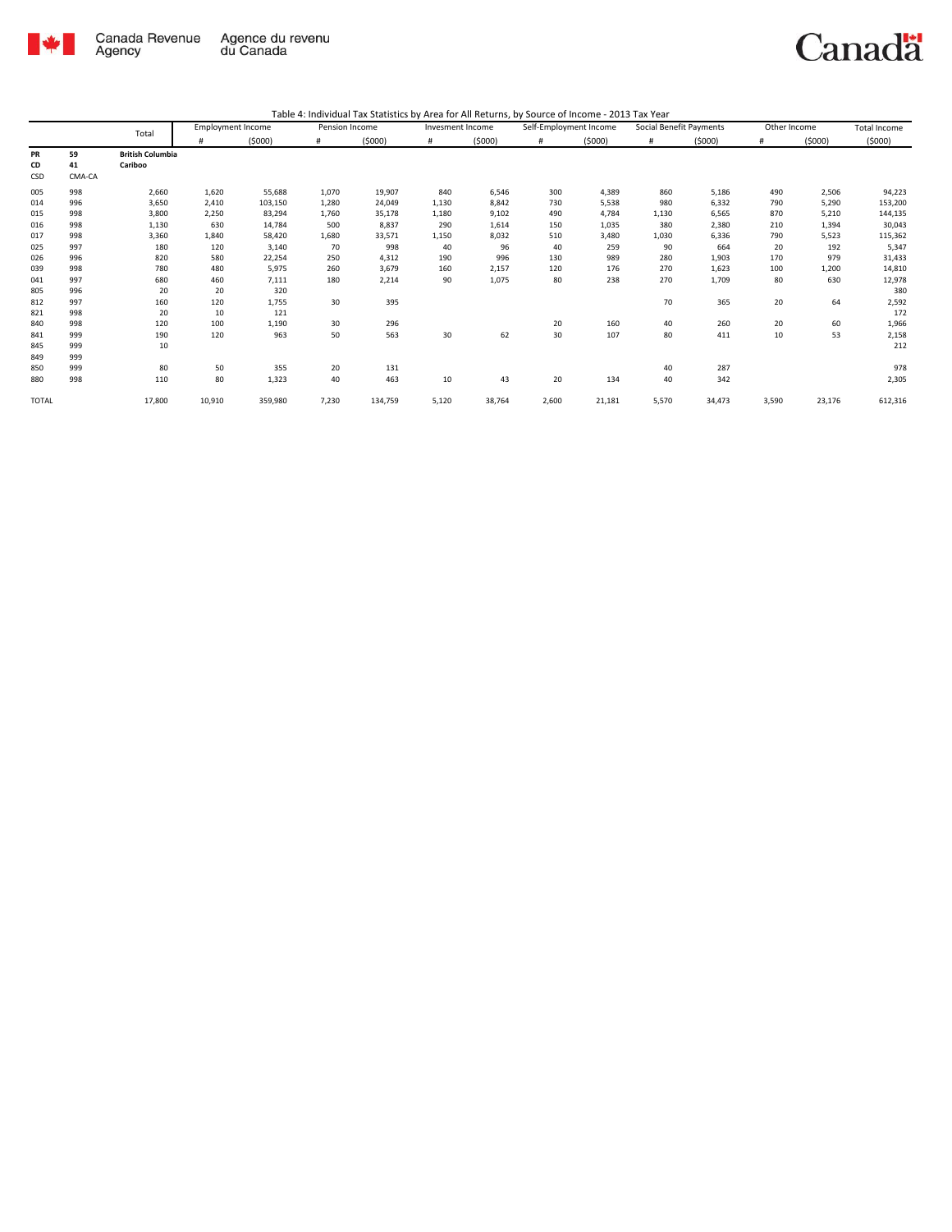

|              |        | Total                   | <b>Employment Income</b> |         | Pension Income |         | Invesment Income |        | Self-Employment Income |        | Social Benefit Payments |        | Other Income |        | Total Income |
|--------------|--------|-------------------------|--------------------------|---------|----------------|---------|------------------|--------|------------------------|--------|-------------------------|--------|--------------|--------|--------------|
|              |        |                         | #                        | (5000)  | #              | (5000)  | #                | (5000) | #                      | (5000) | #                       | (5000) | #            | (5000) | (5000)       |
| PR           | 59     | <b>British Columbia</b> |                          |         |                |         |                  |        |                        |        |                         |        |              |        |              |
| CD           | 41     | Cariboo                 |                          |         |                |         |                  |        |                        |        |                         |        |              |        |              |
| CSD          | CMA-CA |                         |                          |         |                |         |                  |        |                        |        |                         |        |              |        |              |
| 005          | 998    | 2,660                   | 1,620                    | 55,688  | 1,070          | 19,907  | 840              | 6,546  | 300                    | 4,389  | 860                     | 5,186  | 490          | 2,506  | 94,223       |
| 014          | 996    | 3,650                   | 2,410                    | 103,150 | 1,280          | 24,049  | 1,130            | 8,842  | 730                    | 5,538  | 980                     | 6,332  | 790          | 5,290  | 153,200      |
| 015          | 998    | 3,800                   | 2,250                    | 83,294  | 1,760          | 35,178  | 1,180            | 9,102  | 490                    | 4,784  | 1,130                   | 6,565  | 870          | 5,210  | 144,135      |
| 016          | 998    | 1,130                   | 630                      | 14,784  | 500            | 8,837   | 290              | 1,614  | 150                    | 1,035  | 380                     | 2,380  | 210          | 1,394  | 30,043       |
| 017          | 998    | 3,360                   | 1,840                    | 58,420  | 1,680          | 33,571  | 1,150            | 8,032  | 510                    | 3,480  | 1,030                   | 6,336  | 790          | 5,523  | 115,362      |
| 025          | 997    | 180                     | 120                      | 3,140   | 70             | 998     | 40               | 96     | 40                     | 259    | 90                      | 664    | 20           | 192    | 5,347        |
| 026          | 996    | 820                     | 580                      | 22,254  | 250            | 4,312   | 190              | 996    | 130                    | 989    | 280                     | 1,903  | 170          | 979    | 31,433       |
| 039          | 998    | 780                     | 480                      | 5,975   | 260            | 3,679   | 160              | 2,157  | 120                    | 176    | 270                     | 1,623  | 100          | 1,200  | 14,810       |
| 041          | 997    | 680                     | 460                      | 7,111   | 180            | 2,214   | 90               | 1,075  | 80                     | 238    | 270                     | 1,709  | 80           | 630    | 12,978       |
| 805          | 996    | 20                      | 20                       | 320     |                |         |                  |        |                        |        |                         |        |              |        | 380          |
| 812          | 997    | 160                     | 120                      | 1,755   | 30             | 395     |                  |        |                        |        | 70                      | 365    | 20           | 64     | 2,592        |
| 821          | 998    | 20                      | 10                       | 121     |                |         |                  |        |                        |        |                         |        |              |        | 172          |
| 840          | 998    | 120                     | 100                      | 1,190   | 30             | 296     |                  |        | 20                     | 160    | 40                      | 260    | 20           | 60     | 1,966        |
| 841          | 999    | 190                     | 120                      | 963     | 50             | 563     | 30               | 62     | 30                     | 107    | 80                      | 411    | 10           | 53     | 2,158        |
| 845          | 999    | 10                      |                          |         |                |         |                  |        |                        |        |                         |        |              |        | 212          |
| 849          | 999    |                         |                          |         |                |         |                  |        |                        |        |                         |        |              |        |              |
| 850          | 999    | 80                      | 50                       | 355     | 20             | 131     |                  |        |                        |        | 40                      | 287    |              |        | 978          |
| 880          | 998    | 110                     | 80                       | 1,323   | 40             | 463     | 10               | 43     | 20                     | 134    | 40                      | 342    |              |        | 2,305        |
| <b>TOTAL</b> |        | 17,800                  | 10,910                   | 359,980 | 7,230          | 134,759 | 5,120            | 38,764 | 2,600                  | 21,181 | 5,570                   | 34,473 | 3,590        | 23,176 | 612,316      |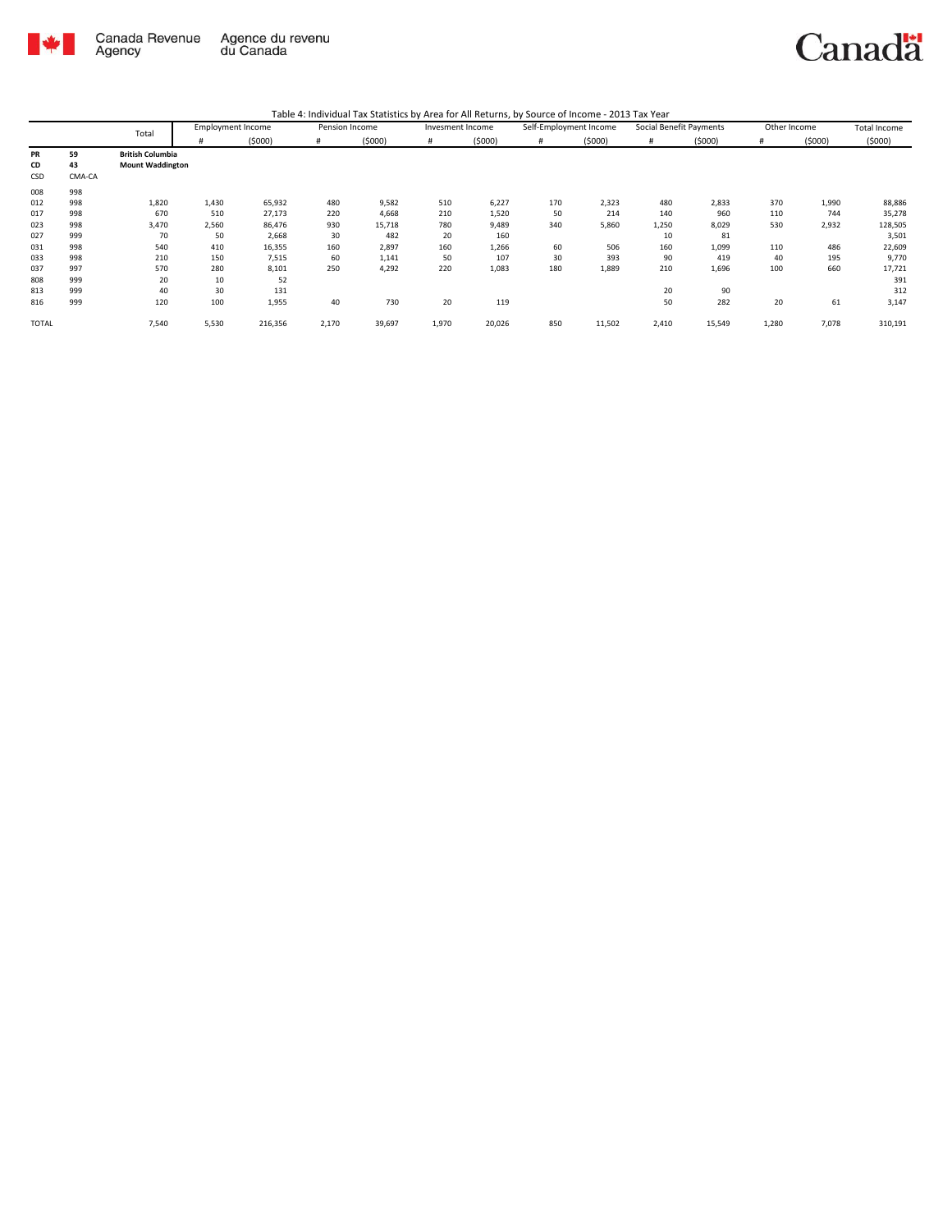

|  |  |  | Table 4: Individual Tax Statistics by Area for All Returns, by Source of Income - 2013 Tax Year |
|--|--|--|-------------------------------------------------------------------------------------------------|
|--|--|--|-------------------------------------------------------------------------------------------------|

|              |        | Total                   | <b>Employment Income</b> |         | Pension Income |        | Invesment Income |        | Self-Employment Income |        | Social Benefit Payments |        | Other Income |        | Total Income |
|--------------|--------|-------------------------|--------------------------|---------|----------------|--------|------------------|--------|------------------------|--------|-------------------------|--------|--------------|--------|--------------|
|              |        |                         | #                        | (5000)  | #              | (5000) |                  | (5000) | #                      | (5000) |                         | (5000) | #            | (5000) | (5000)       |
| PR           | 59     | <b>British Columbia</b> |                          |         |                |        |                  |        |                        |        |                         |        |              |        |              |
| CD           | 43     | <b>Mount Waddington</b> |                          |         |                |        |                  |        |                        |        |                         |        |              |        |              |
| CSD          | CMA-CA |                         |                          |         |                |        |                  |        |                        |        |                         |        |              |        |              |
| 008          | 998    |                         |                          |         |                |        |                  |        |                        |        |                         |        |              |        |              |
| 012          | 998    | 1,820                   | 1,430                    | 65,932  | 480            | 9,582  | 510              | 6,227  | 170                    | 2,323  | 480                     | 2,833  | 370          | 1,990  | 88,886       |
| 017          | 998    | 670                     | 510                      | 27,173  | 220            | 4,668  | 210              | 1,520  | 50                     | 214    | 140                     | 960    | 110          | 744    | 35,278       |
| 023          | 998    | 3,470                   | 2,560                    | 86,476  | 930            | 15,718 | 780              | 9,489  | 340                    | 5,860  | 1,250                   | 8,029  | 530          | 2,932  | 128,505      |
| 027          | 999    | 70                      | 50                       | 2,668   | 30             | 482    | 20               | 160    |                        |        | 10                      | 81     |              |        | 3,501        |
| 031          | 998    | 540                     | 410                      | 16,355  | 160            | 2,897  | 160              | 1,266  | 60                     | 506    | 160                     | 1,099  | 110          | 486    | 22,609       |
| 033          | 998    | 210                     | 150                      | 7,515   | 60             | 1,141  | 50               | 107    | 30                     | 393    | 90                      | 419    | 40           | 195    | 9,770        |
| 037          | 997    | 570                     | 280                      | 8,101   | 250            | 4,292  | 220              | 1,083  | 180                    | 1,889  | 210                     | 1,696  | 100          | 660    | 17,721       |
| 808          | 999    | 20                      | 10                       | 52      |                |        |                  |        |                        |        |                         |        |              |        | 391          |
| 813          | 999    | 40                      | 30                       | 131     |                |        |                  |        |                        |        | 20                      | 90     |              |        | 312          |
| 816          | 999    | 120                     | 100                      | 1,955   | 40             | 730    | 20               | 119    |                        |        | 50                      | 282    | 20           | 61     | 3,147        |
| <b>TOTAL</b> |        | 7,540                   | 5,530                    | 216,356 | 2,170          | 39,697 | 1,970            | 20,026 | 850                    | 11,502 | 2,410                   | 15,549 | 1,280        | 7,078  | 310,191      |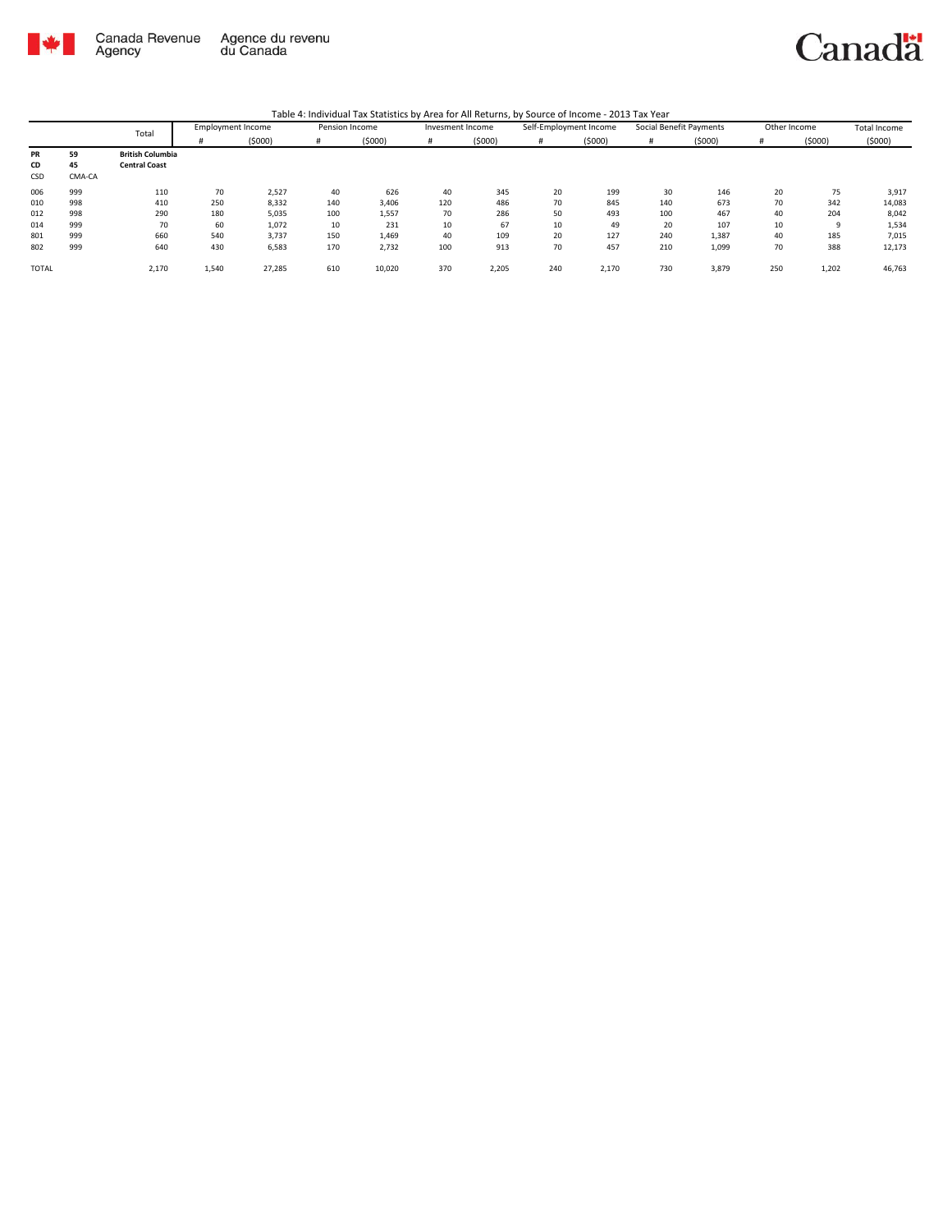

|              |        | Total                   |       | <b>Employment Income</b> |     | Pension Income | Invesment Income |        |     | Self-Employment Income |     | Social Benefit Payments | Other Income |        | Total Income |
|--------------|--------|-------------------------|-------|--------------------------|-----|----------------|------------------|--------|-----|------------------------|-----|-------------------------|--------------|--------|--------------|
|              |        |                         | #     | (5000)                   | #   | (5000)         | #                | (5000) | #   | (5000)                 | #   | (5000)                  | #            | (5000) | (5000)       |
| PR           | 59     | <b>British Columbia</b> |       |                          |     |                |                  |        |     |                        |     |                         |              |        |              |
| CD           | 45     | <b>Central Coast</b>    |       |                          |     |                |                  |        |     |                        |     |                         |              |        |              |
| CSD          | CMA-CA |                         |       |                          |     |                |                  |        |     |                        |     |                         |              |        |              |
| 006          | 999    | 110                     | 70    | 2,527                    | 40  | 626            | 40               | 345    | 20  | 199                    | 30  | 146                     | 20           | 75     | 3,917        |
| 010          | 998    | 410                     | 250   | 8,332                    | 140 | 3,406          | 120              | 486    | 70  | 845                    | 140 | 673                     | 70           | 342    | 14,083       |
| 012          | 998    | 290                     | 180   | 5,035                    | 100 | 1,557          | 70               | 286    | 50  | 493                    | 100 | 467                     | 40           | 204    | 8,042        |
| 014          | 999    | 70                      | 60    | 1,072                    | 10  | 231            | 10               | 67     | 10  | 49                     | 20  | 107                     | 10           | q      | 1,534        |
| 801          | 999    | 660                     | 540   | 3,737                    | 150 | 1,469          | 40               | 109    | 20  | 127                    | 240 | 1,387                   | 40           | 185    | 7,015        |
| 802          | 999    | 640                     | 430   | 6,583                    | 170 | 2,732          | 100              | 913    | 70  | 457                    | 210 | 1,099                   | 70           | 388    | 12,173       |
| <b>TOTAL</b> |        | 2,170                   | 1,540 | 27,285                   | 610 | 10,020         | 370              | 2,205  | 240 | 2,170                  | 730 | 3,879                   | 250          | 1,202  | 46,763       |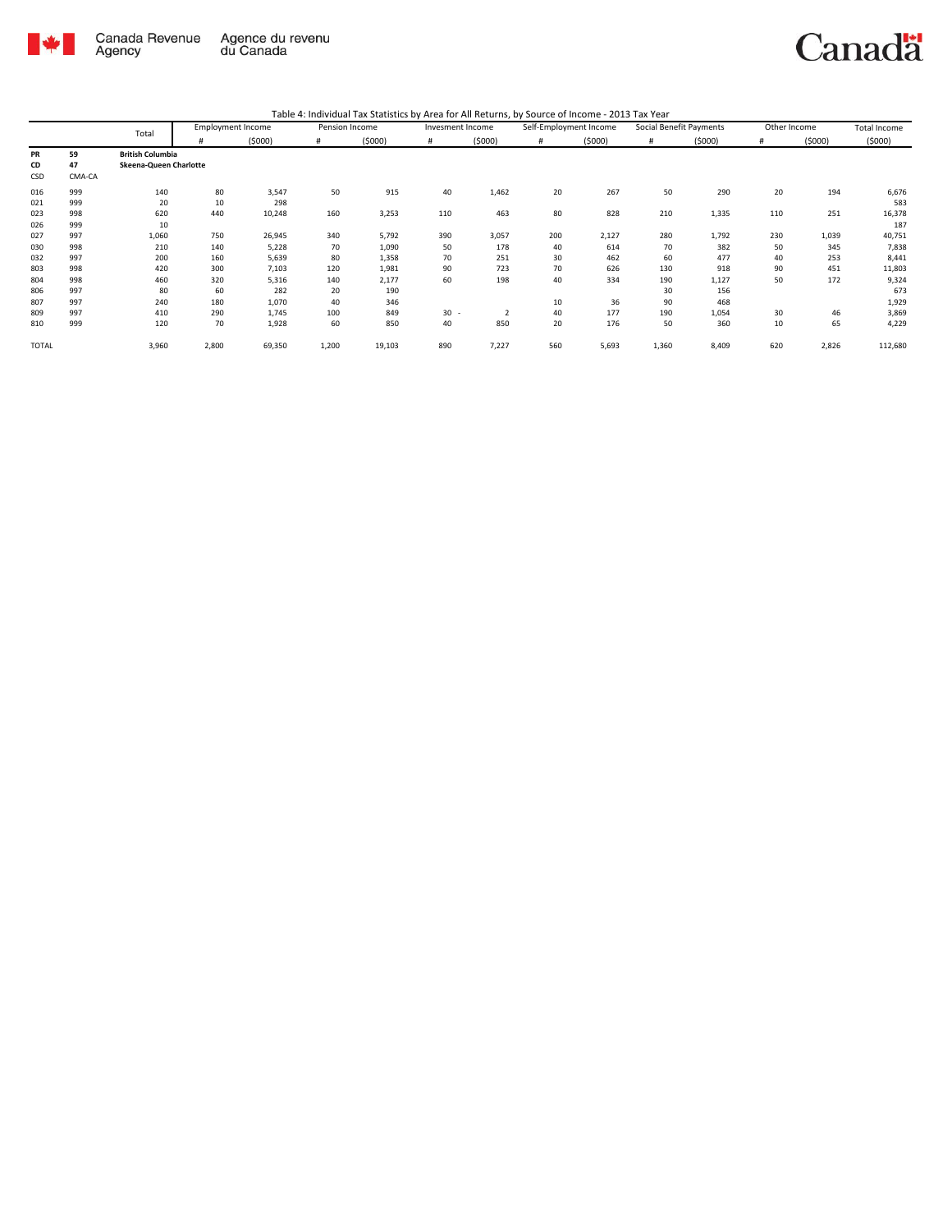

|              |        | Total                   |       | <b>Employment Income</b> | Pension Income |        | Invesment Income |        | Self-Employment Income |        | Social Benefit Payments |        | Other Income |        | <b>Total Income</b> |
|--------------|--------|-------------------------|-------|--------------------------|----------------|--------|------------------|--------|------------------------|--------|-------------------------|--------|--------------|--------|---------------------|
|              |        |                         | #     | (5000)                   | #              | (5000) | #                | (5000) | $\#$                   | (5000) | #                       | (5000) | #            | (5000) | (5000)              |
| <b>PR</b>    | 59     | <b>British Columbia</b> |       |                          |                |        |                  |        |                        |        |                         |        |              |        |                     |
| CD           | 47     | Skeena-Queen Charlotte  |       |                          |                |        |                  |        |                        |        |                         |        |              |        |                     |
| CSD          | CMA-CA |                         |       |                          |                |        |                  |        |                        |        |                         |        |              |        |                     |
| 016          | 999    | 140                     | 80    | 3,547                    | 50             | 915    | 40               | 1,462  | 20                     | 267    | 50                      | 290    | 20           | 194    | 6,676               |
| 021          | 999    | 20                      | 10    | 298                      |                |        |                  |        |                        |        |                         |        |              |        | 583                 |
| 023          | 998    | 620                     | 440   | 10,248                   | 160            | 3,253  | 110              | 463    | 80                     | 828    | 210                     | 1,335  | 110          | 251    | 16,378              |
| 026          | 999    | 10                      |       |                          |                |        |                  |        |                        |        |                         |        |              |        | 187                 |
| 027          | 997    | 1,060                   | 750   | 26,945                   | 340            | 5,792  | 390              | 3,057  | 200                    | 2,127  | 280                     | 1,792  | 230          | 1,039  | 40,751              |
| 030          | 998    | 210                     | 140   | 5,228                    | 70             | 1,090  | 50               | 178    | 40                     | 614    | 70                      | 382    | 50           | 345    | 7,838               |
| 032          | 997    | 200                     | 160   | 5,639                    | 80             | 1,358  | 70               | 251    | 30                     | 462    | 60                      | 477    | 40           | 253    | 8,441               |
| 803          | 998    | 420                     | 300   | 7,103                    | 120            | 1,981  | 90               | 723    | 70                     | 626    | 130                     | 918    | 90           | 451    | 11,803              |
| 804          | 998    | 460                     | 320   | 5,316                    | 140            | 2,177  | 60               | 198    | 40                     | 334    | 190                     | 1,127  | 50           | 172    | 9,324               |
| 806          | 997    | 80                      | 60    | 282                      | 20             | 190    |                  |        |                        |        | 30                      | 156    |              |        | 673                 |
| 807          | 997    | 240                     | 180   | 1,070                    | 40             | 346    |                  |        | 10                     | 36     | 90                      | 468    |              |        | 1,929               |
| 809          | 997    | 410                     | 290   | 1,745                    | 100            | 849    | 30               | 2      | 40                     | 177    | 190                     | 1,054  | 30           | 46     | 3,869               |
| 810          | 999    | 120                     | 70    | 1,928                    | 60             | 850    | 40               | 850    | 20                     | 176    | 50                      | 360    | 10           | 65     | 4,229               |
| <b>TOTAL</b> |        | 3,960                   | 2,800 | 69,350                   | 1,200          | 19,103 | 890              | 7,227  | 560                    | 5,693  | 1,360                   | 8,409  | 620          | 2,826  | 112,680             |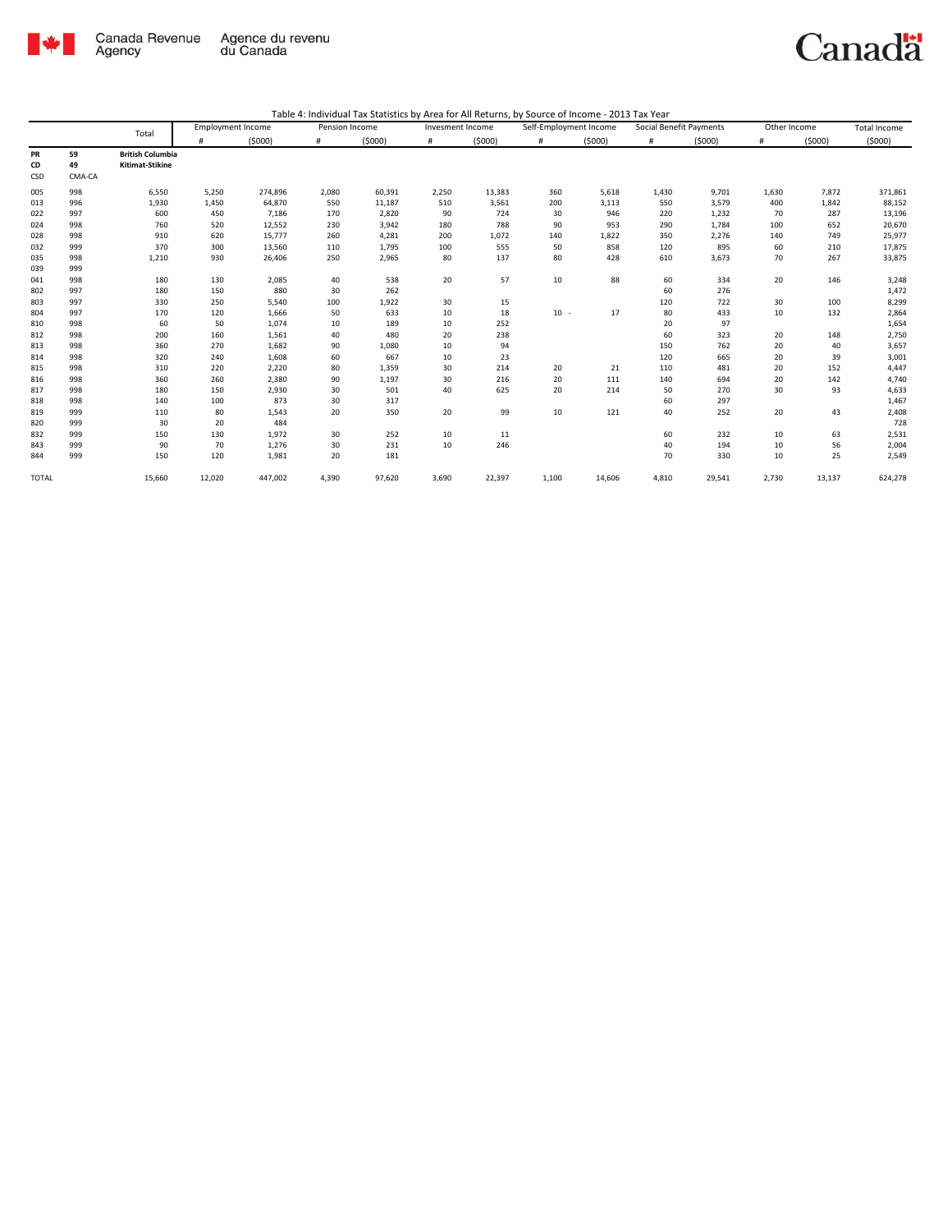

|                 |                    | Total                                      | <b>Employment Income</b> |         | Pension Income |        | Invesment Income |        | Self-Employment Income |        | Social Benefit Payments |        | Other Income |        | Total Income |
|-----------------|--------------------|--------------------------------------------|--------------------------|---------|----------------|--------|------------------|--------|------------------------|--------|-------------------------|--------|--------------|--------|--------------|
|                 |                    |                                            | #                        | (5000)  | #              | (5000) | #                | (5000) | #                      | (5000) | #                       | (5000) | #            | (5000) | (5000)       |
| PR<br>CD<br>CSD | 59<br>49<br>CMA-CA | <b>British Columbia</b><br>Kitimat-Stikine |                          |         |                |        |                  |        |                        |        |                         |        |              |        |              |
| 005             | 998                | 6,550                                      | 5,250                    | 274,896 | 2,080          | 60,391 | 2,250            | 13,383 | 360                    | 5,618  | 1,430                   | 9,701  | 1,630        | 7,872  | 371,861      |
| 013             | 996                | 1,930                                      | 1,450                    | 64,870  | 550            | 11,187 | 510              | 3,561  | 200                    | 3,113  | 550                     | 3,579  | 400          | 1,842  | 88,152       |
| 022             | 997                | 600                                        | 450                      | 7,186   | 170            | 2,820  | 90               | 724    | 30                     | 946    | 220                     | 1,232  | 70           | 287    | 13,196       |
| 024             | 998                | 760                                        | 520                      | 12,552  | 230            | 3,942  | 180              | 788    | 90                     | 953    | 290                     | 1,784  | 100          | 652    | 20,670       |
| 028             | 998                | 910                                        | 620                      | 15,777  | 260            | 4,281  | 200              | 1,072  | 140                    | 1,822  | 350                     | 2,276  | 140          | 749    | 25,977       |
| 032             | 999                | 370                                        | 300                      | 13,560  | 110            | 1,795  | 100              | 555    | 50                     | 858    | 120                     | 895    | 60           | 210    | 17,875       |
| 035             | 998                | 1,210                                      | 930                      | 26,406  | 250            | 2,965  | 80               | 137    | 80                     | 428    | 610                     | 3,673  | 70           | 267    | 33,875       |
| 039             | 999                |                                            |                          |         |                |        |                  |        |                        |        |                         |        |              |        |              |
| 041             | 998                | 180                                        | 130                      | 2,085   | 40             | 538    | 20               | 57     | 10                     | 88     | 60                      | 334    | 20           | 146    | 3,248        |
| 802             | 997                | 180                                        | 150                      | 880     | 30             | 262    |                  |        |                        |        | 60                      | 276    |              |        | 1,472        |
| 803             | 997                | 330                                        | 250                      | 5,540   | 100            | 1,922  | 30               | 15     |                        |        | 120                     | 722    | 30           | 100    | 8,299        |
| 804             | 997                | 170                                        | 120                      | 1,666   | 50             | 633    | 10               | 18     | $10 -$                 | 17     | 80                      | 433    | 10           | 132    | 2,864        |
| 810             | 998                | 60                                         | 50                       | 1,074   | 10             | 189    | 10               | 252    |                        |        | 20                      | 97     |              |        | 1,654        |
| 812             | 998                | 200                                        | 160                      | 1,561   | 40             | 480    | 20               | 238    |                        |        | 60                      | 323    | 20           | 148    | 2,750        |
| 813             | 998                | 360                                        | 270                      | 1,682   | 90             | 1,080  | 10               | 94     |                        |        | 150                     | 762    | 20           | 40     | 3,657        |
| 814             | 998                | 320                                        | 240                      | 1,608   | 60             | 667    | 10               | 23     |                        |        | 120                     | 665    | 20           | 39     | 3,001        |
| 815             | 998                | 310                                        | 220                      | 2,220   | 80             | 1,359  | 30               | 214    | 20                     | 21     | 110                     | 481    | 20           | 152    | 4,447        |
| 816             | 998                | 360                                        | 260                      | 2,380   | 90             | 1,197  | 30               | 216    | 20                     | 111    | 140                     | 694    | 20           | 142    | 4,740        |
| 817             | 998                | 180                                        | 150                      | 2,930   | 30             | 501    | 40               | 625    | 20                     | 214    | 50                      | 270    | 30           | 93     | 4,633        |
| 818             | 998                | 140                                        | 100                      | 873     | 30             | 317    |                  |        |                        |        | 60                      | 297    |              |        | 1,467        |
| 819             | 999                | 110                                        | 80                       | 1,543   | 20             | 350    | 20               | 99     | 10                     | 121    | 40                      | 252    | 20           | 43     | 2,408        |
| 820             | 999                | 30                                         | 20                       | 484     |                |        |                  |        |                        |        |                         |        |              |        | 728          |
| 832             | 999                | 150                                        | 130                      | 1,972   | 30             | 252    | 10               | 11     |                        |        | 60                      | 232    | 10           | 63     | 2,531        |
| 843             | 999                | 90                                         | 70                       | 1,276   | 30             | 231    | 10               | 246    |                        |        | 40                      | 194    | 10           | 56     | 2,004        |
| 844             | 999                | 150                                        | 120                      | 1,981   | 20             | 181    |                  |        |                        |        | 70                      | 330    | 10           | 25     | 2,549        |
| <b>TOTAL</b>    |                    | 15,660                                     | 12,020                   | 447,002 | 4,390          | 97,620 | 3,690            | 22,397 | 1,100                  | 14,606 | 4,810                   | 29,541 | 2,730        | 13,137 | 624,278      |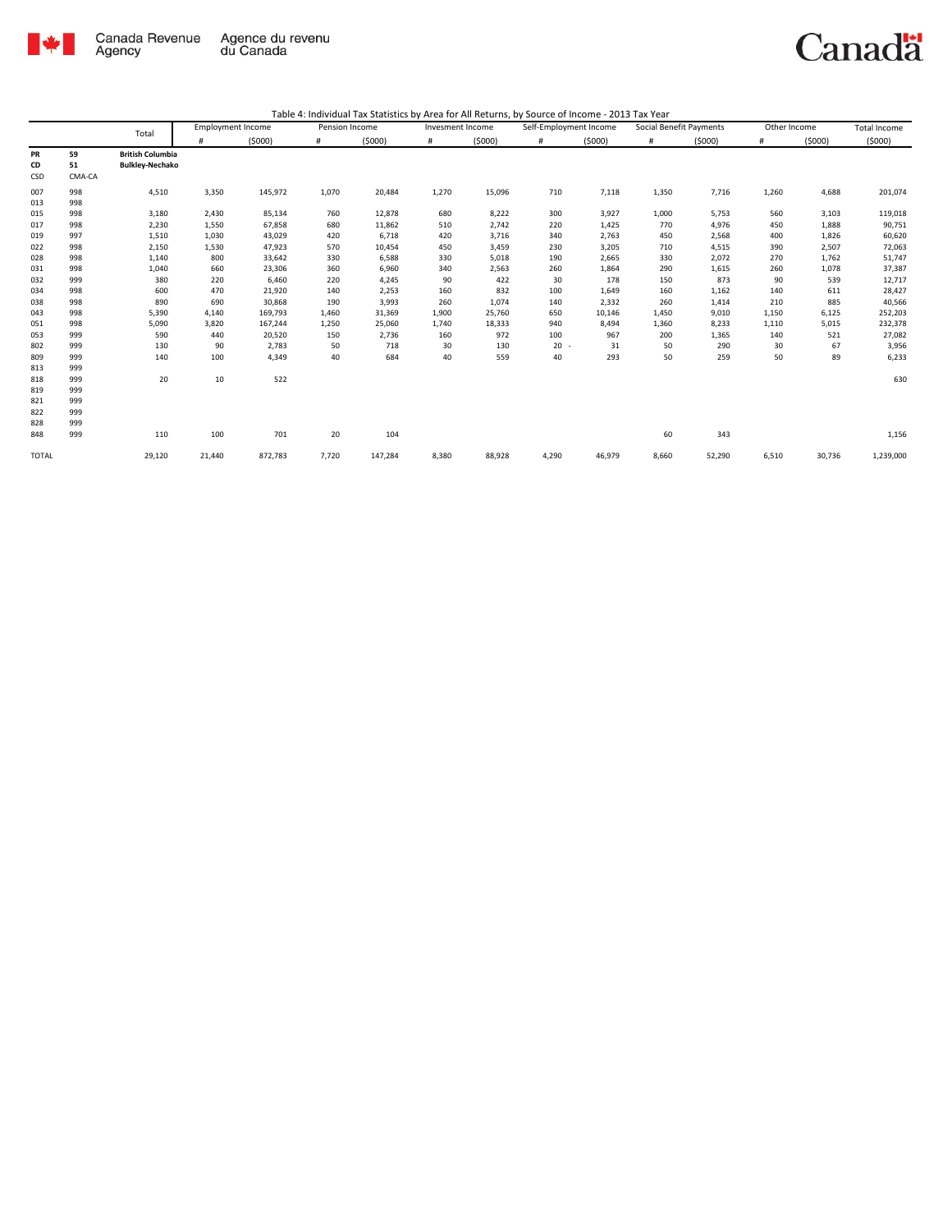

|                                                                                                |                                                                                                | Total                                                                                                          | <b>Employment Income</b>                                                                                  |                                                                                                                                         | Pension Income                                                                                   |                                                                                                                             | Invesment Income                                                                                |                                                                                                                    | Self-Employment Income                                                                          |                                                                                                                    | Social Benefit Payments                                                                            |                                                                                                                      | Other Income                                                                                    |                                                                                                              | Total Income                                                                                                                              |
|------------------------------------------------------------------------------------------------|------------------------------------------------------------------------------------------------|----------------------------------------------------------------------------------------------------------------|-----------------------------------------------------------------------------------------------------------|-----------------------------------------------------------------------------------------------------------------------------------------|--------------------------------------------------------------------------------------------------|-----------------------------------------------------------------------------------------------------------------------------|-------------------------------------------------------------------------------------------------|--------------------------------------------------------------------------------------------------------------------|-------------------------------------------------------------------------------------------------|--------------------------------------------------------------------------------------------------------------------|----------------------------------------------------------------------------------------------------|----------------------------------------------------------------------------------------------------------------------|-------------------------------------------------------------------------------------------------|--------------------------------------------------------------------------------------------------------------|-------------------------------------------------------------------------------------------------------------------------------------------|
|                                                                                                |                                                                                                |                                                                                                                | #                                                                                                         | (5000)                                                                                                                                  | #                                                                                                | (5000)                                                                                                                      | #                                                                                               | (5000)                                                                                                             | $\#$                                                                                            | (5000)                                                                                                             | #                                                                                                  | (5000)                                                                                                               | $\#$                                                                                            | (5000)                                                                                                       | (5000)                                                                                                                                    |
| PR<br>CD<br>CSD                                                                                | 59<br>51<br>CMA-CA                                                                             | <b>British Columbia</b><br><b>Bulkley-Nechako</b>                                                              |                                                                                                           |                                                                                                                                         |                                                                                                  |                                                                                                                             |                                                                                                 |                                                                                                                    |                                                                                                 |                                                                                                                    |                                                                                                    |                                                                                                                      |                                                                                                 |                                                                                                              |                                                                                                                                           |
| 007<br>013                                                                                     | 998<br>998                                                                                     | 4,510                                                                                                          | 3,350                                                                                                     | 145,972                                                                                                                                 | 1,070                                                                                            | 20,484                                                                                                                      | 1,270                                                                                           | 15,096                                                                                                             | 710                                                                                             | 7,118                                                                                                              | 1,350                                                                                              | 7,716                                                                                                                | 1,260                                                                                           | 4,688                                                                                                        | 201,074                                                                                                                                   |
| 015<br>017<br>019<br>022<br>028<br>031<br>032<br>034<br>038<br>043<br>051<br>053<br>802<br>809 | 998<br>998<br>997<br>998<br>998<br>998<br>999<br>998<br>998<br>998<br>998<br>999<br>999<br>999 | 3,180<br>2,230<br>1,510<br>2,150<br>1,140<br>1,040<br>380<br>600<br>890<br>5,390<br>5,090<br>590<br>130<br>140 | 2,430<br>1,550<br>1,030<br>1,530<br>800<br>660<br>220<br>470<br>690<br>4,140<br>3,820<br>440<br>90<br>100 | 85,134<br>67,858<br>43,029<br>47,923<br>33,642<br>23,306<br>6,460<br>21,920<br>30,868<br>169,793<br>167,244<br>20,520<br>2,783<br>4,349 | 760<br>680<br>420<br>570<br>330<br>360<br>220<br>140<br>190<br>1,460<br>1,250<br>150<br>50<br>40 | 12,878<br>11,862<br>6,718<br>10,454<br>6,588<br>6,960<br>4,245<br>2,253<br>3,993<br>31,369<br>25,060<br>2,736<br>718<br>684 | 680<br>510<br>420<br>450<br>330<br>340<br>90<br>160<br>260<br>1,900<br>1,740<br>160<br>30<br>40 | 8,222<br>2,742<br>3,716<br>3,459<br>5,018<br>2,563<br>422<br>832<br>1,074<br>25,760<br>18,333<br>972<br>130<br>559 | 300<br>220<br>340<br>230<br>190<br>260<br>30<br>100<br>140<br>650<br>940<br>100<br>$20 -$<br>40 | 3,927<br>1,425<br>2,763<br>3,205<br>2,665<br>1,864<br>178<br>1,649<br>2,332<br>10,146<br>8,494<br>967<br>31<br>293 | 1,000<br>770<br>450<br>710<br>330<br>290<br>150<br>160<br>260<br>1,450<br>1,360<br>200<br>50<br>50 | 5,753<br>4,976<br>2,568<br>4,515<br>2,072<br>1,615<br>873<br>1,162<br>1,414<br>9,010<br>8,233<br>1,365<br>290<br>259 | 560<br>450<br>400<br>390<br>270<br>260<br>90<br>140<br>210<br>1,150<br>1,110<br>140<br>30<br>50 | 3,103<br>1,888<br>1,826<br>2,507<br>1,762<br>1,078<br>539<br>611<br>885<br>6,125<br>5,015<br>521<br>67<br>89 | 119,018<br>90,751<br>60,620<br>72,063<br>51,747<br>37,387<br>12,717<br>28,427<br>40,566<br>252,203<br>232,378<br>27,082<br>3,956<br>6,233 |
| 813<br>818<br>819<br>821<br>822<br>828<br>848                                                  | 999<br>999<br>999<br>999<br>999<br>999<br>999                                                  | 20<br>110                                                                                                      | 10<br>100                                                                                                 | 522<br>701                                                                                                                              | 20                                                                                               | 104                                                                                                                         |                                                                                                 |                                                                                                                    |                                                                                                 |                                                                                                                    | 60                                                                                                 | 343                                                                                                                  |                                                                                                 |                                                                                                              | 630<br>1,156                                                                                                                              |
| <b>TOTAL</b>                                                                                   |                                                                                                | 29,120                                                                                                         | 21,440                                                                                                    | 872,783                                                                                                                                 | 7,720                                                                                            | 147,284                                                                                                                     | 8,380                                                                                           | 88,928                                                                                                             | 4,290                                                                                           | 46,979                                                                                                             | 8,660                                                                                              | 52,290                                                                                                               | 6,510                                                                                           | 30,736                                                                                                       | 1,239,000                                                                                                                                 |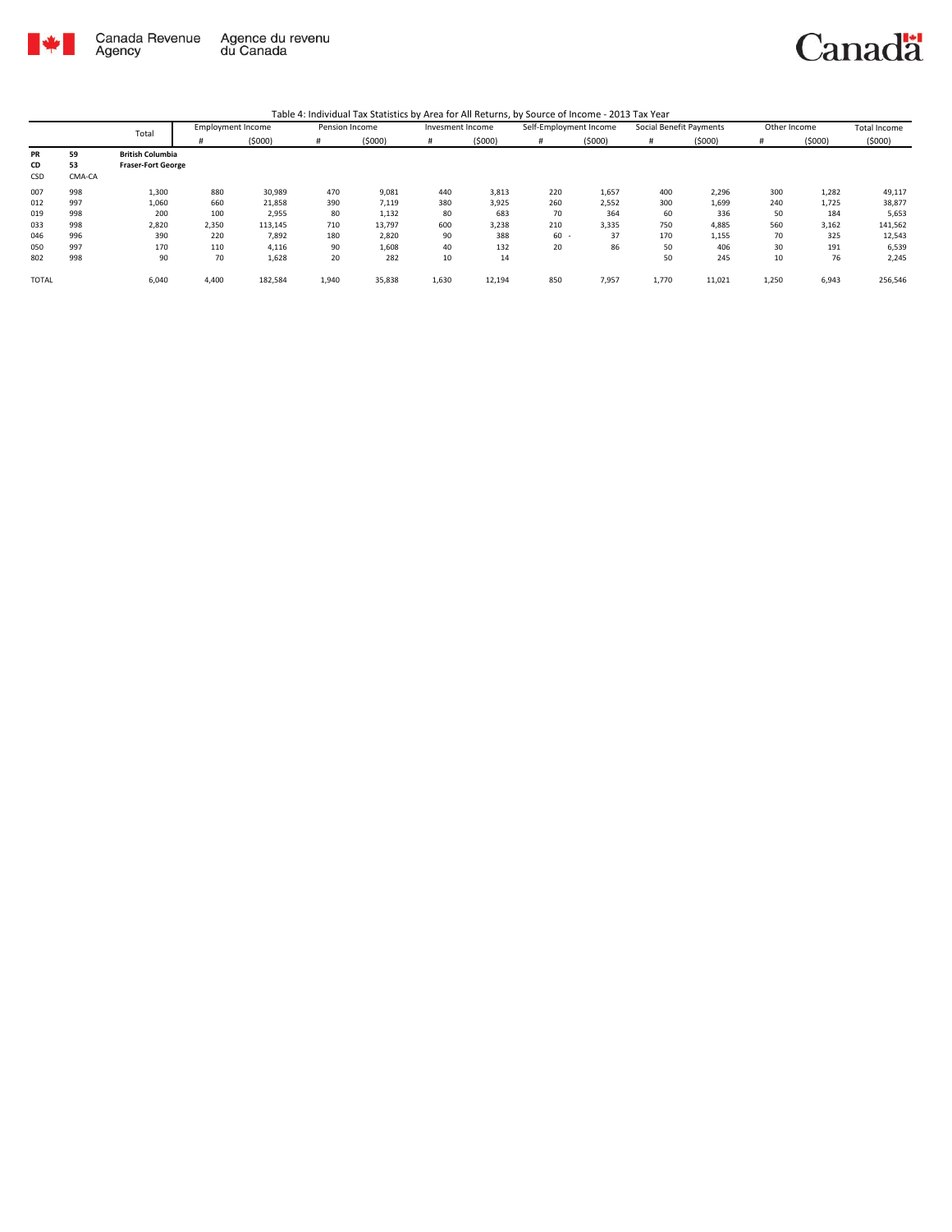

|              |        | Total                     | <b>Employment Income</b> |         | Pension Income |        | Invesment Income |        | Self-Employment Income |        | Social Benefit Payments |        | Other Income |        | <b>Total Income</b> |
|--------------|--------|---------------------------|--------------------------|---------|----------------|--------|------------------|--------|------------------------|--------|-------------------------|--------|--------------|--------|---------------------|
|              |        |                           |                          | (5000)  | #              | (5000) |                  | (5000) | #                      | (5000) |                         | (5000) | #            | (5000) | (5000)              |
| PR           | 59     | <b>British Columbia</b>   |                          |         |                |        |                  |        |                        |        |                         |        |              |        |                     |
| CD           | 53     | <b>Fraser-Fort George</b> |                          |         |                |        |                  |        |                        |        |                         |        |              |        |                     |
| CSD          | CMA-CA |                           |                          |         |                |        |                  |        |                        |        |                         |        |              |        |                     |
| 007          | 998    | 1,300                     | 880                      | 30,989  | 470            | 9,081  | 440              | 3,813  | 220                    | 1,657  | 400                     | 2,296  | 300          | 1,282  | 49,117              |
| 012          | 997    | 1,060                     | 660                      | 21,858  | 390            | 7,119  | 380              | 3,925  | 260                    | 2,552  | 300                     | 1,699  | 240          | 1,725  | 38,877              |
| 019          | 998    | 200                       | 100                      | 2,955   | 80             | 1,132  | 80               | 683    | 70                     | 364    | 60                      | 336    | 50           | 184    | 5,653               |
| 033          | 998    | 2,820                     | 2,350                    | 113,145 | 710            | 13,797 | 600              | 3,238  | 210                    | 3,335  | 750                     | 4,885  | 560          | 3,162  | 141,562             |
| 046          | 996    | 390                       | 220                      | 7,892   | 180            | 2,820  | 90               | 388    | $60 -$                 | 37     | 170                     | 1,155  | 70           | 325    | 12,543              |
| 050          | 997    | 170                       | 110                      | 4,116   | 90             | 1,608  | 40               | 132    | 20                     | 86     | 50                      | 406    | 30           | 191    | 6,539               |
| 802          | 998    | 90                        | 70                       | 1,628   | 20             | 282    | 10               | 14     |                        |        | 50                      | 245    | 10           | 76     | 2,245               |
| <b>TOTAL</b> |        | 6,040                     | 4,400                    | 182,584 | 1,940          | 35,838 | 1,630            | 12,194 | 850                    | 7,957  | 1,770                   | 11,021 | 1,250        | 6,943  | 256,546             |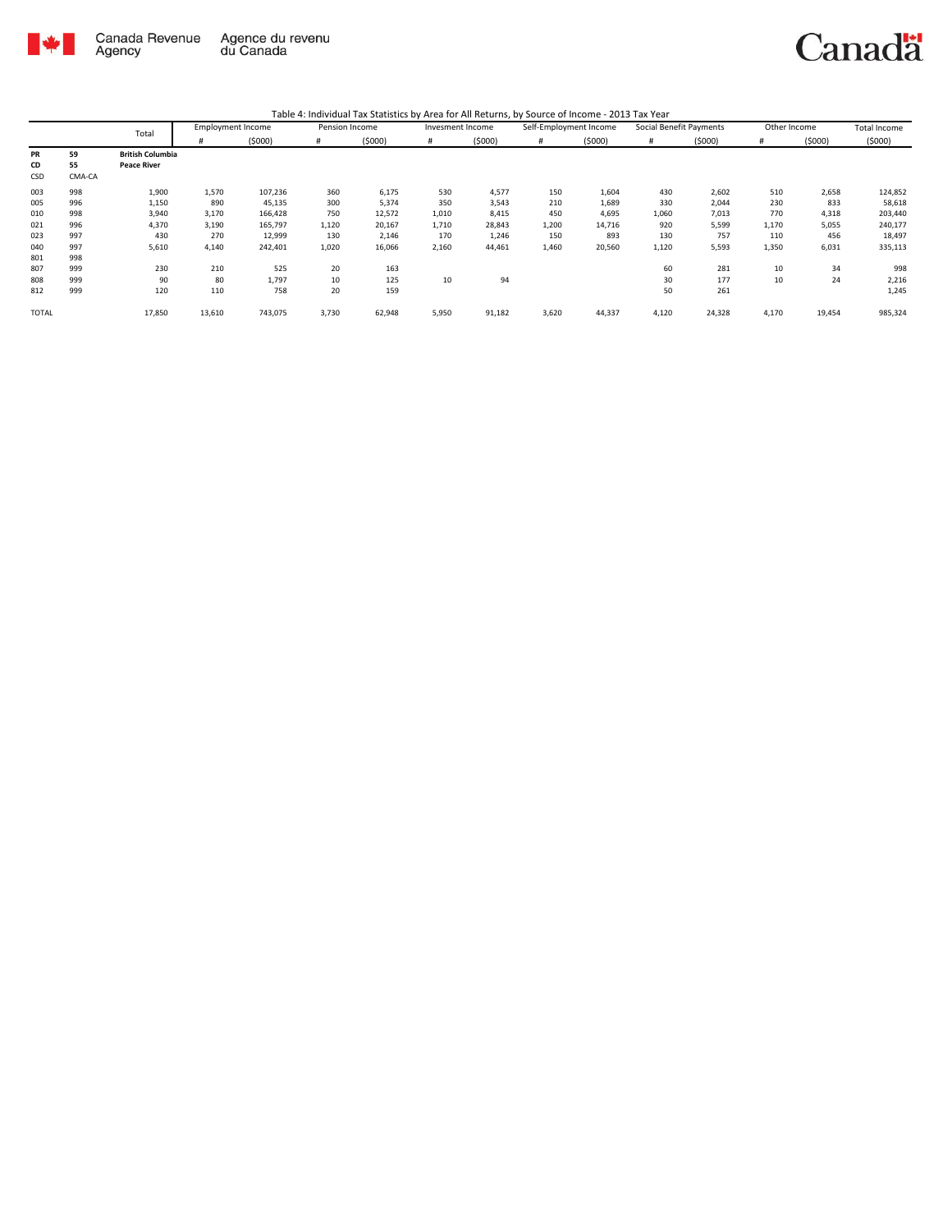

|       |        | Total                   | <b>Employment Income</b> |         | Pension Income |        | Invesment Income |        | Self-Employment Income |        | Social Benefit Payments |        | Other Income |        | Total Income |
|-------|--------|-------------------------|--------------------------|---------|----------------|--------|------------------|--------|------------------------|--------|-------------------------|--------|--------------|--------|--------------|
|       |        |                         | #                        | (5000)  | #              | (5000) | #                | (5000) | #                      | (5000) | #                       | (5000) | #            | (5000) | (5000)       |
| PR    | 59     | <b>British Columbia</b> |                          |         |                |        |                  |        |                        |        |                         |        |              |        |              |
| CD    | 55     | <b>Peace River</b>      |                          |         |                |        |                  |        |                        |        |                         |        |              |        |              |
| CSD   | CMA-CA |                         |                          |         |                |        |                  |        |                        |        |                         |        |              |        |              |
| 003   | 998    | 1,900                   | 1,570                    | 107,236 | 360            | 6,175  | 530              | 4,577  | 150                    | 1,604  | 430                     | 2,602  | 510          | 2,658  | 124,852      |
| 005   | 996    | 1,150                   | 890                      | 45,135  | 300            | 5,374  | 350              | 3,543  | 210                    | 1,689  | 330                     | 2,044  | 230          | 833    | 58,618       |
| 010   | 998    | 3,940                   | 3,170                    | 166,428 | 750            | 12,572 | 1,010            | 8,415  | 450                    | 4,695  | 1,060                   | 7,013  | 770          | 4,318  | 203,440      |
| 021   | 996    | 4,370                   | 3,190                    | 165,797 | 1,120          | 20,167 | 1,710            | 28,843 | 1,200                  | 14,716 | 920                     | 5,599  | 1,170        | 5,055  | 240,177      |
| 023   | 997    | 430                     | 270                      | 12,999  | 130            | 2,146  | 170              | 1,246  | 150                    | 893    | 130                     | 757    | 110          | 456    | 18,497       |
| 040   | 997    | 5,610                   | 4,140                    | 242,401 | 1,020          | 16,066 | 2,160            | 44,461 | 1,460                  | 20,560 | 1,120                   | 5,593  | 1,350        | 6,031  | 335,113      |
| 801   | 998    |                         |                          |         |                |        |                  |        |                        |        |                         |        |              |        |              |
| 807   | 999    | 230                     | 210                      | 525     | 20             | 163    |                  |        |                        |        | 60                      | 281    | 10           | 34     | 998          |
| 808   | 999    | 90                      | 80                       | 1,797   | 10             | 125    | 10               | 94     |                        |        | 30                      | 177    | 10           | 24     | 2,216        |
| 812   | 999    | 120                     | 110                      | 758     | 20             | 159    |                  |        |                        |        | 50                      | 261    |              |        | 1,245        |
| TOTAL |        | 17,850                  | 13,610                   | 743,075 | 3,730          | 62,948 | 5,950            | 91,182 | 3,620                  | 44,337 | 4,120                   | 24,328 | 4,170        | 19,454 | 985,324      |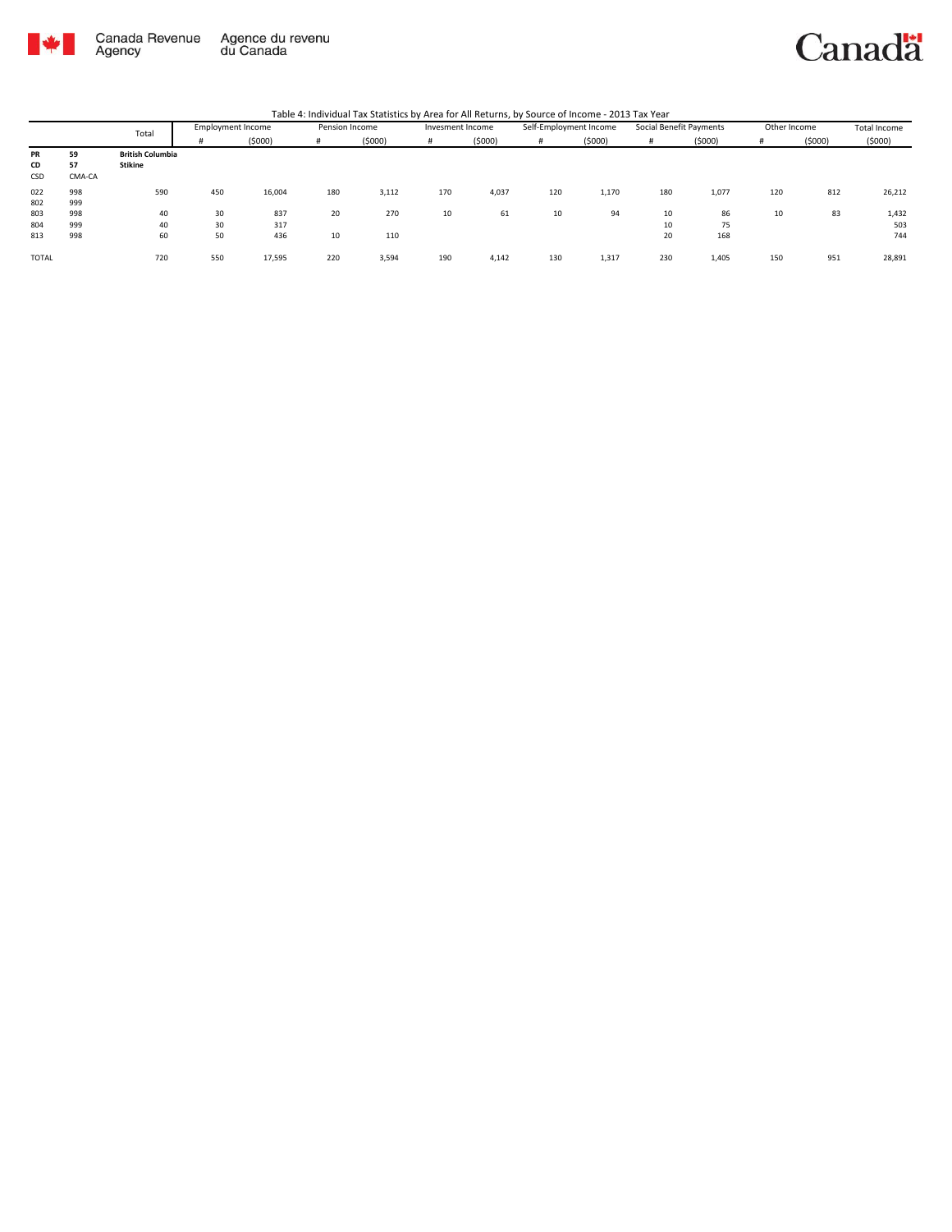

Canada Revenue<br>Agency Agence du revenu<br>du Canada

|  | Table 4: Individual Tax Statistics by Area for All Returns, by Source of Income - 2013 Tax Year |  |
|--|-------------------------------------------------------------------------------------------------|--|
|  |                                                                                                 |  |

|              |        | Total                   |     | <b>Employment Income</b> | Pension Income |        |     | Invesment Income |     | Self-Employment Income | Social Benefit Payments |        |     | Other Income | Total Income |
|--------------|--------|-------------------------|-----|--------------------------|----------------|--------|-----|------------------|-----|------------------------|-------------------------|--------|-----|--------------|--------------|
|              |        |                         | #   | (5000)                   | #              | (5000) |     | (5000)           | #   | (5000)                 |                         | (5000) |     | (5000)       | (5000)       |
| PR           | 59     | <b>British Columbia</b> |     |                          |                |        |     |                  |     |                        |                         |        |     |              |              |
| CD           | 57     | Stikine                 |     |                          |                |        |     |                  |     |                        |                         |        |     |              |              |
| CSD          | CMA-CA |                         |     |                          |                |        |     |                  |     |                        |                         |        |     |              |              |
| 022          | 998    | 590                     | 450 | 16,004                   | 180            | 3,112  | 170 | 4,037            | 120 | 1,170                  | 180                     | 1,077  | 120 | 812          | 26,212       |
| 802          | 999    |                         |     |                          |                |        |     |                  |     |                        |                         |        |     |              |              |
| 803          | 998    | 40                      | 30  | 837                      | 20             | 270    | 10  | 61               | 10  | 94                     | 10                      | 86     | 10  | 83           | 1,432        |
| 804          | 999    | 40                      | 30  | 317                      |                |        |     |                  |     |                        | 10                      | 75     |     |              | 503          |
| 813          | 998    | 60                      | 50  | 436                      | 10             | 110    |     |                  |     |                        | 20                      | 168    |     |              | 744          |
|              |        |                         |     |                          |                |        |     |                  |     |                        |                         |        |     |              |              |
| <b>TOTAL</b> |        | 720                     | 550 | 17,595                   | 220            | 3,594  | 190 | 4,142            | 130 | 1,317                  | 230                     | 1,405  | 150 | 951          | 28,891       |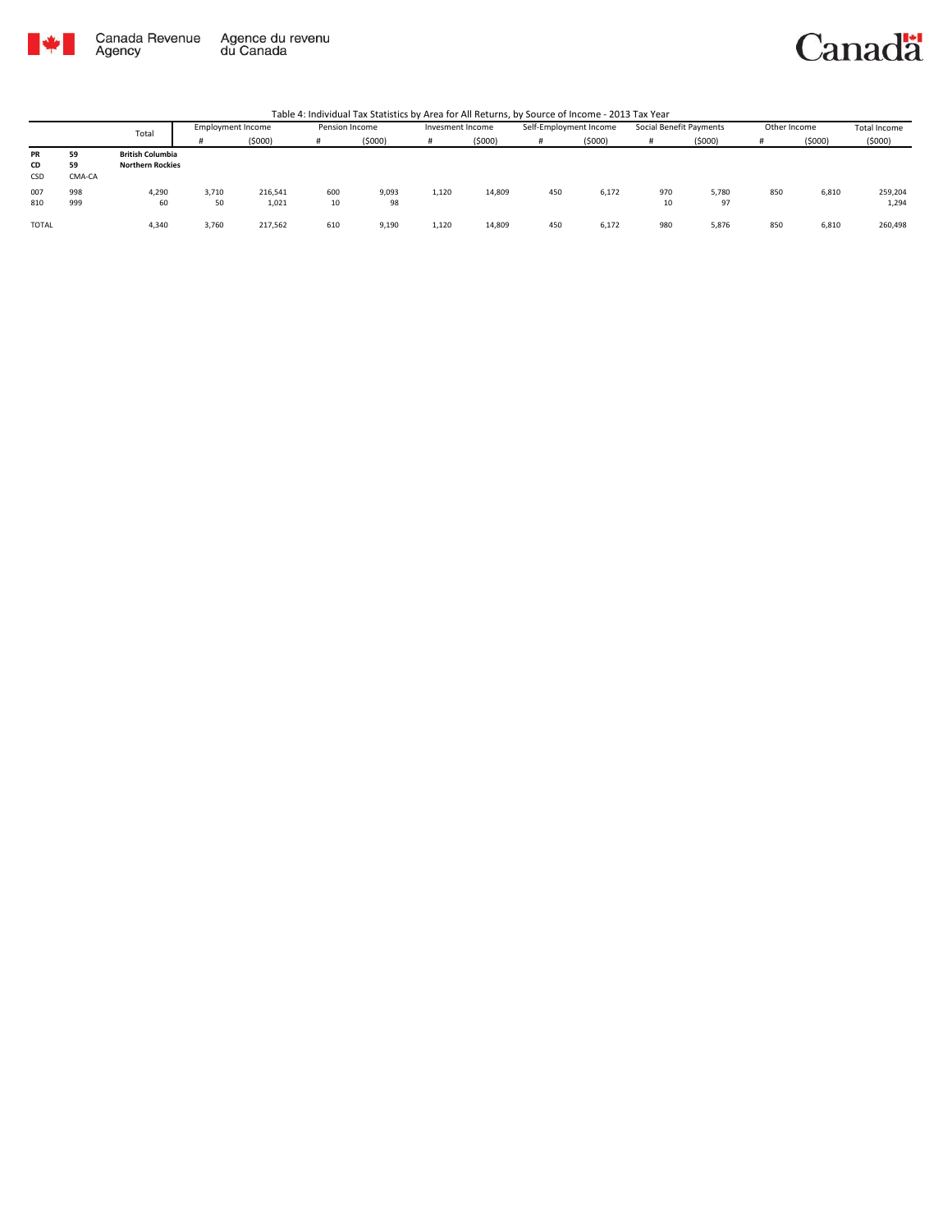

Canada Revenue<br>Agency Agence du revenu<br>du Canada

#### Canadä

|              |        | Total                   | <b>Employment Income</b> |         | Pension Income |        | Invesment Income |        | Self-Employment Income |        | Social Benefit Payments |        | Other Income |        | Total Income |
|--------------|--------|-------------------------|--------------------------|---------|----------------|--------|------------------|--------|------------------------|--------|-------------------------|--------|--------------|--------|--------------|
|              |        |                         |                          | (5000)  | Ħ              | (5000) |                  | (5000) |                        | (5000) | #                       | (5000) |              | (5000) | (5000)       |
| PR           | 59     | <b>British Columbia</b> |                          |         |                |        |                  |        |                        |        |                         |        |              |        |              |
| CD           | 59     | <b>Northern Rockies</b> |                          |         |                |        |                  |        |                        |        |                         |        |              |        |              |
| CSD          | CMA-CA |                         |                          |         |                |        |                  |        |                        |        |                         |        |              |        |              |
| 007          | 998    | 4,290                   | 3,710                    | 216,541 | 600            | 9,093  | 1,120            | 14,809 | 450                    | 6,172  | 970                     | 5,780  | 850          | 6,810  | 259,204      |
| 810          | 999    | 60                      | 50                       | 1,021   | 10             | 98     |                  |        |                        |        | 10                      | 97     |              |        | 1,294        |
|              |        |                         |                          |         |                |        |                  |        |                        |        |                         |        |              |        |              |
| <b>TOTAL</b> |        | 4,340                   | 3,760                    | 217,562 | 610            | 9,190  | 1,120            | 14,809 | 450                    | 6,172  | 980                     | 5,876  | 850          | 6,810  | 260,498      |